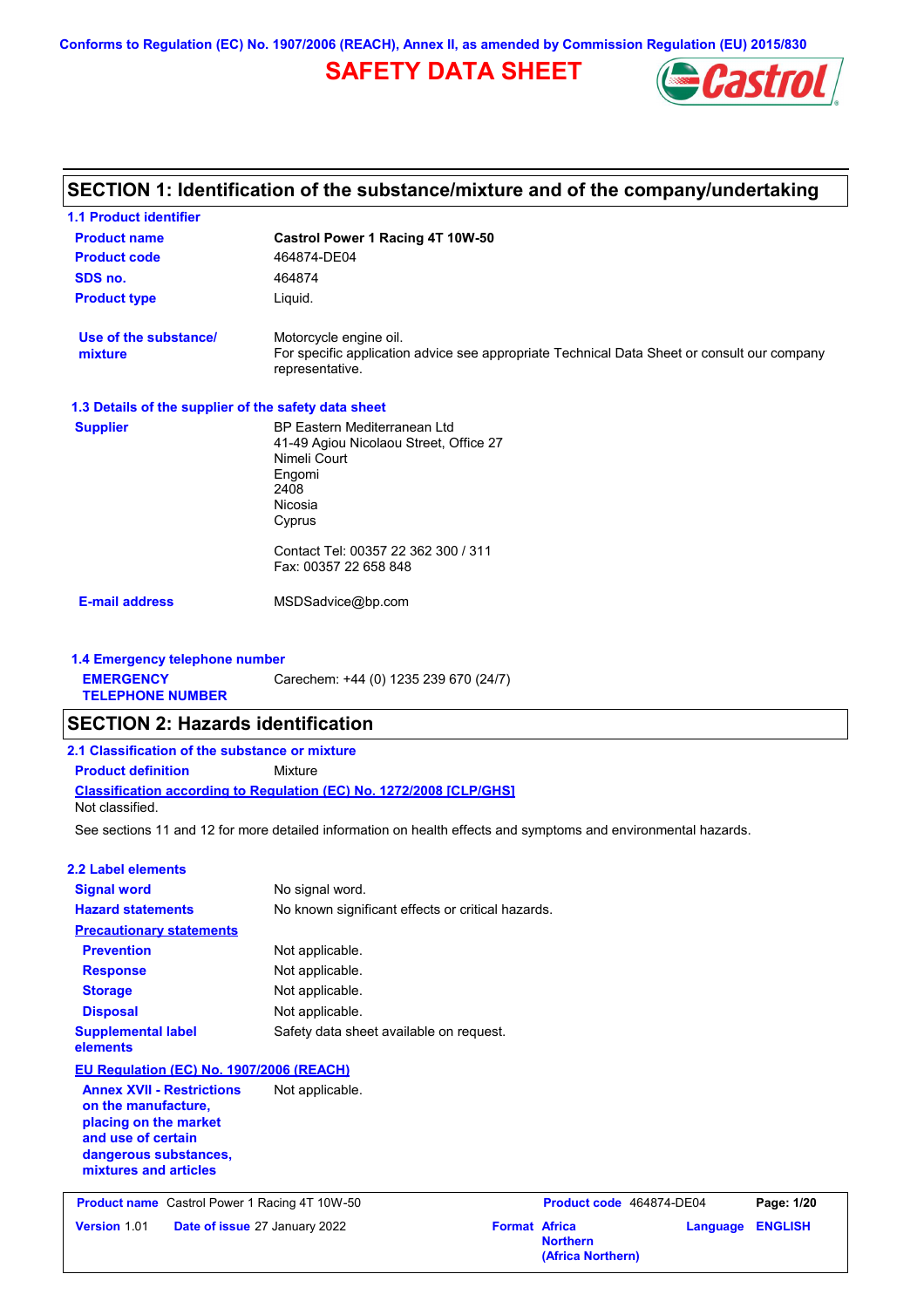# **SAFETY DATA SHEET**



#### **Castrol Power 1 Racing 4T 10W-50 Product name 1.1 Product identifier 1.3 Details of the supplier of the safety data sheet Product type Liquid. E-mail address** MSDSadvice@bp.com **SECTION 1: Identification of the substance/mixture and of the company/undertaking Product code 464874-DE04 1.4 Emergency telephone number EMERGENCY TELEPHONE NUMBER** Carechem: +44 (0) 1235 239 670 (24/7) **Supplier** BP Eastern Mediterranean Ltd 41-49 Agiou Nicolaou Street, Office 27 Nimeli Court Engomi 2408 Nicosia Cyprus Contact Tel: 00357 22 362 300 / 311 Fax: 00357 22 658 848 **SDS no.** 464874 **Use of the substance/ mixture** Motorcycle engine oil. For specific application advice see appropriate Technical Data Sheet or consult our company representative. See sections 11 and 12 for more detailed information on health effects and symptoms and environmental hazards. **Classification according to Regulation (EC) No. 1272/2008 [CLP/GHS] SECTION 2: Hazards identification 2.1 Classification of the substance or mixture Product definition** Mixture **2.2 Label elements Signal word Hazard statements Prevention Precautionary statements Response Storage Disposal** No signal word. No known significant effects or critical hazards. Not applicable. Not applicable. Not applicable. Not applicable. **Supplemental label elements** Safety data sheet available on request. Not classified. **EU Regulation (EC) No. 1907/2006 (REACH) Annex XVII - Restrictions on the manufacture, placing on the market and use of certain dangerous substances, mixtures and articles** Not applicable. **Product name** Castrol Power 1 Racing 4T 10W-50 **Product Code 464874-DE04 Page: 1/20 Version** 1.01 **Date of issue** 27 January 2022 **Format Africa Northern Language ENGLISH (Africa Northern)**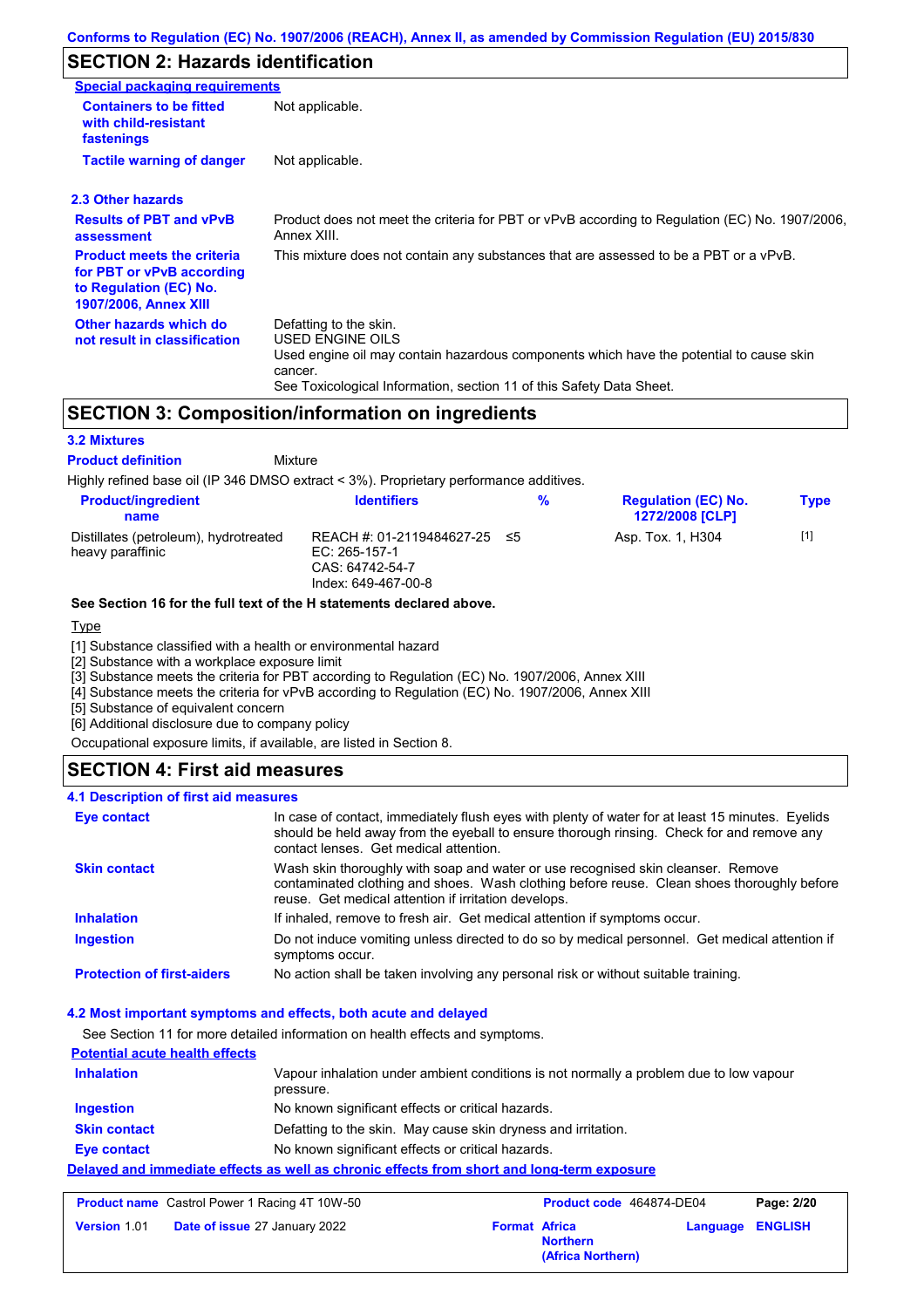# **SECTION 2: Hazards identification**

| Special packaging requirements                                                                                           |                                                                                                                                                                                                                                 |
|--------------------------------------------------------------------------------------------------------------------------|---------------------------------------------------------------------------------------------------------------------------------------------------------------------------------------------------------------------------------|
| <b>Containers to be fitted</b><br>with child-resistant<br>fastenings                                                     | Not applicable.                                                                                                                                                                                                                 |
| <b>Tactile warning of danger</b>                                                                                         | Not applicable.                                                                                                                                                                                                                 |
| 2.3 Other hazards                                                                                                        |                                                                                                                                                                                                                                 |
| <b>Results of PBT and vPvB</b><br>assessment                                                                             | Product does not meet the criteria for PBT or vPvB according to Regulation (EC) No. 1907/2006,<br>Annex XIII.                                                                                                                   |
| <b>Product meets the criteria</b><br>for PBT or vPvB according<br>to Regulation (EC) No.<br><b>1907/2006, Annex XIII</b> | This mixture does not contain any substances that are assessed to be a PBT or a vPvB.                                                                                                                                           |
| Other hazards which do<br>not result in classification                                                                   | Defatting to the skin.<br><b>USED ENGINE OILS</b><br>Used engine oil may contain hazardous components which have the potential to cause skin<br>cancer.<br>See Toxicological Information, section 11 of this Safety Data Sheet. |

# **SECTION 3: Composition/information on ingredients**

#### **3.2 Mixtures**

Mixture **Product definition**

Highly refined base oil (IP 346 DMSO extract < 3%). Proprietary performance additives.

| <b>Product/ingredient</b><br>name                         | <b>Identifiers</b>                                                                      | % | <b>Regulation (EC) No.</b><br><b>1272/2008 [CLP]</b> | <b>Type</b> |
|-----------------------------------------------------------|-----------------------------------------------------------------------------------------|---|------------------------------------------------------|-------------|
| Distillates (petroleum), hydrotreated<br>heavy paraffinic | REACH #: 01-2119484627-25 ≤5<br>EC: 265-157-1<br>CAS: 64742-54-7<br>Index: 649-467-00-8 |   | Asp. Tox. 1, H304                                    | $[1]$       |

#### **See Section 16 for the full text of the H statements declared above.**

#### **Type**

[1] Substance classified with a health or environmental hazard

[2] Substance with a workplace exposure limit

[3] Substance meets the criteria for PBT according to Regulation (EC) No. 1907/2006, Annex XIII

[4] Substance meets the criteria for vPvB according to Regulation (EC) No. 1907/2006, Annex XIII

[5] Substance of equivalent concern

[6] Additional disclosure due to company policy

Occupational exposure limits, if available, are listed in Section 8.

### **SECTION 4: First aid measures**

#### **4.1 Description of first aid measures**

| <b>Eye contact</b>                | In case of contact, immediately flush eyes with plenty of water for at least 15 minutes. Eyelids<br>should be held away from the eyeball to ensure thorough rinsing. Check for and remove any<br>contact lenses. Get medical attention. |
|-----------------------------------|-----------------------------------------------------------------------------------------------------------------------------------------------------------------------------------------------------------------------------------------|
| <b>Skin contact</b>               | Wash skin thoroughly with soap and water or use recognised skin cleanser. Remove<br>contaminated clothing and shoes. Wash clothing before reuse. Clean shoes thoroughly before<br>reuse. Get medical attention if irritation develops.  |
| <b>Inhalation</b>                 | If inhaled, remove to fresh air. Get medical attention if symptoms occur.                                                                                                                                                               |
| <b>Ingestion</b>                  | Do not induce vomiting unless directed to do so by medical personnel. Get medical attention if<br>symptoms occur.                                                                                                                       |
| <b>Protection of first-aiders</b> | No action shall be taken involving any personal risk or without suitable training.                                                                                                                                                      |

#### **4.2 Most important symptoms and effects, both acute and delayed**

See Section 11 for more detailed information on health effects and symptoms.

# **Potential acute health effects**

| <b>Inhalation</b>   | Vapour inhalation under ambient conditions is not normally a problem due to low vapour<br>pressure. |
|---------------------|-----------------------------------------------------------------------------------------------------|
| <b>Ingestion</b>    | No known significant effects or critical hazards.                                                   |
| <b>Skin contact</b> | Defatting to the skin. May cause skin dryness and irritation.                                       |
| Eye contact         | No known significant effects or critical hazards.                                                   |
|                     | Delayed and immediate effects as well as chronic effects from short and long-term exposure          |

| <b>Product name</b> Castrol Power 1 Racing 4T 10W-50 |                                      | <b>Product code</b> 464874-DE04 |                                      | Page: 2/20              |  |
|------------------------------------------------------|--------------------------------------|---------------------------------|--------------------------------------|-------------------------|--|
| <b>Version 1.01</b>                                  | <b>Date of issue 27 January 2022</b> | <b>Format Africa</b>            | <b>Northern</b><br>(Africa Northern) | <b>Language ENGLISH</b> |  |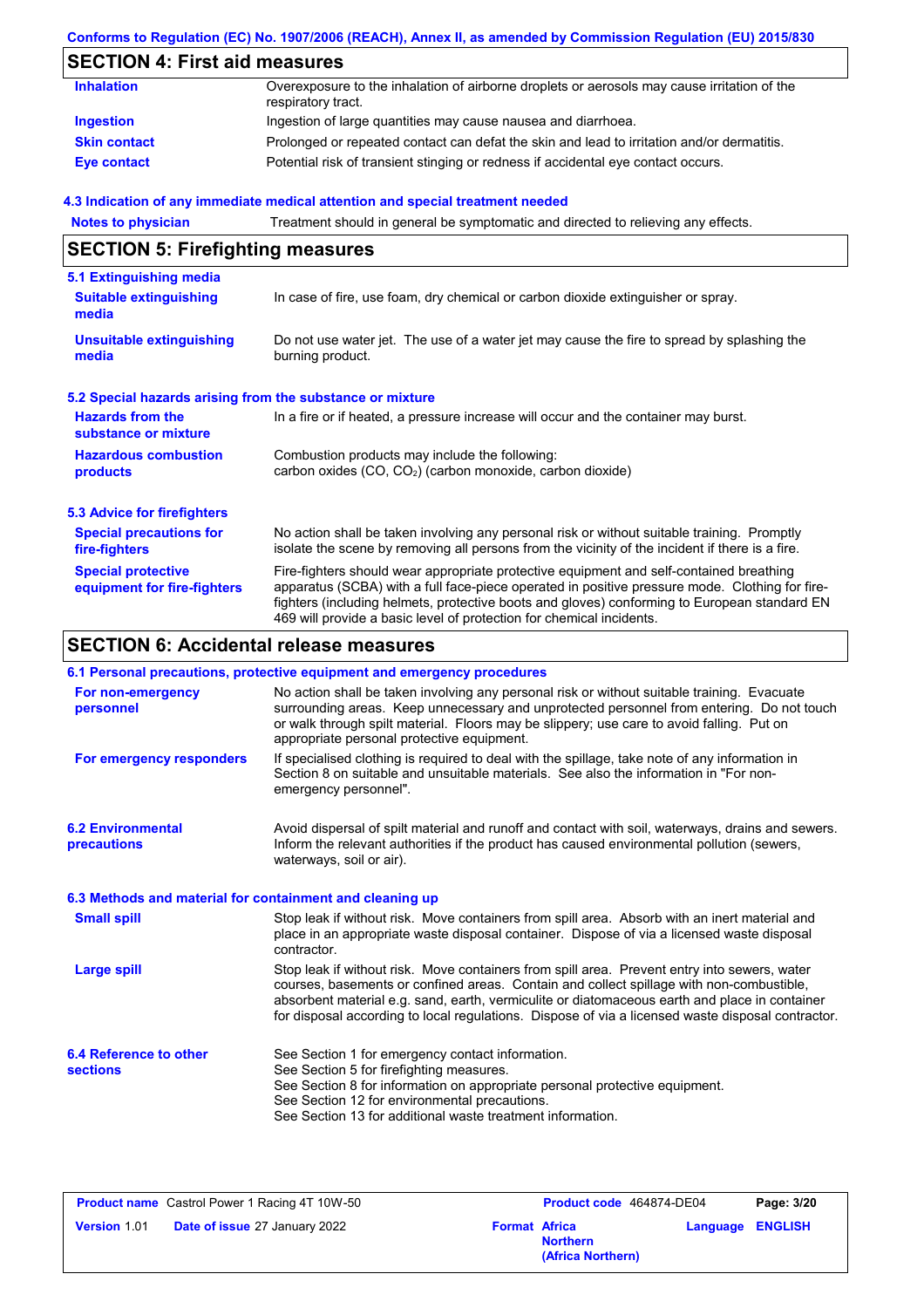# **SECTION 4: First aid measures**

| <b>Inhalation</b>   | Overexposure to the inhalation of airborne droplets or aerosols may cause irritation of the<br>respiratory tract. |
|---------------------|-------------------------------------------------------------------------------------------------------------------|
| Ingestion           | Ingestion of large quantities may cause nausea and diarrhoea.                                                     |
| <b>Skin contact</b> | Prolonged or repeated contact can defat the skin and lead to irritation and/or dermatitis.                        |
| <b>Eye contact</b>  | Potential risk of transient stinging or redness if accidental eye contact occurs.                                 |

#### **4.3 Indication of any immediate medical attention and special treatment needed**

| <b>Notes to physician</b>                                         | Treatment should in general be symptomatic and directed to relieving any effects.                                                                                                                                                                                                                                                                                 |  |  |
|-------------------------------------------------------------------|-------------------------------------------------------------------------------------------------------------------------------------------------------------------------------------------------------------------------------------------------------------------------------------------------------------------------------------------------------------------|--|--|
| <b>SECTION 5: Firefighting measures</b>                           |                                                                                                                                                                                                                                                                                                                                                                   |  |  |
| 5.1 Extinguishing media<br><b>Suitable extinguishing</b><br>media | In case of fire, use foam, dry chemical or carbon dioxide extinguisher or spray.                                                                                                                                                                                                                                                                                  |  |  |
| <b>Unsuitable extinguishing</b><br>media                          | Do not use water jet. The use of a water jet may cause the fire to spread by splashing the<br>burning product.                                                                                                                                                                                                                                                    |  |  |
| 5.2 Special hazards arising from the substance or mixture         |                                                                                                                                                                                                                                                                                                                                                                   |  |  |
| <b>Hazards from the</b><br>substance or mixture                   | In a fire or if heated, a pressure increase will occur and the container may burst.                                                                                                                                                                                                                                                                               |  |  |
| <b>Hazardous combustion</b><br>products                           | Combustion products may include the following:<br>carbon oxides (CO, CO <sub>2</sub> ) (carbon monoxide, carbon dioxide)                                                                                                                                                                                                                                          |  |  |
| <b>5.3 Advice for firefighters</b>                                |                                                                                                                                                                                                                                                                                                                                                                   |  |  |
| <b>Special precautions for</b><br>fire-fighters                   | No action shall be taken involving any personal risk or without suitable training. Promptly<br>isolate the scene by removing all persons from the vicinity of the incident if there is a fire.                                                                                                                                                                    |  |  |
| <b>Special protective</b><br>equipment for fire-fighters          | Fire-fighters should wear appropriate protective equipment and self-contained breathing<br>apparatus (SCBA) with a full face-piece operated in positive pressure mode. Clothing for fire-<br>fighters (including helmets, protective boots and gloves) conforming to European standard EN<br>469 will provide a basic level of protection for chemical incidents. |  |  |

# **SECTION 6: Accidental release measures**

|                                                          | 6.1 Personal precautions, protective equipment and emergency procedures                                                                                                                                                                                                                                                                                                                        |
|----------------------------------------------------------|------------------------------------------------------------------------------------------------------------------------------------------------------------------------------------------------------------------------------------------------------------------------------------------------------------------------------------------------------------------------------------------------|
| For non-emergency<br>personnel                           | No action shall be taken involving any personal risk or without suitable training. Evacuate<br>surrounding areas. Keep unnecessary and unprotected personnel from entering. Do not touch<br>or walk through spilt material. Floors may be slippery; use care to avoid falling. Put on<br>appropriate personal protective equipment.                                                            |
| For emergency responders                                 | If specialised clothing is required to deal with the spillage, take note of any information in<br>Section 8 on suitable and unsuitable materials. See also the information in "For non-<br>emergency personnel".                                                                                                                                                                               |
| <b>6.2 Environmental</b><br>precautions                  | Avoid dispersal of spilt material and runoff and contact with soil, waterways, drains and sewers.<br>Inform the relevant authorities if the product has caused environmental pollution (sewers,<br>waterways, soil or air).                                                                                                                                                                    |
| 6.3 Methods and material for containment and cleaning up |                                                                                                                                                                                                                                                                                                                                                                                                |
| <b>Small spill</b>                                       | Stop leak if without risk. Move containers from spill area. Absorb with an inert material and<br>place in an appropriate waste disposal container. Dispose of via a licensed waste disposal<br>contractor.                                                                                                                                                                                     |
| <b>Large spill</b>                                       | Stop leak if without risk. Move containers from spill area. Prevent entry into sewers, water<br>courses, basements or confined areas. Contain and collect spillage with non-combustible,<br>absorbent material e.g. sand, earth, vermiculite or diatomaceous earth and place in container<br>for disposal according to local regulations. Dispose of via a licensed waste disposal contractor. |
| 6.4 Reference to other<br><b>sections</b>                | See Section 1 for emergency contact information.<br>See Section 5 for firefighting measures.<br>See Section 8 for information on appropriate personal protective equipment.<br>See Section 12 for environmental precautions.<br>See Section 13 for additional waste treatment information.                                                                                                     |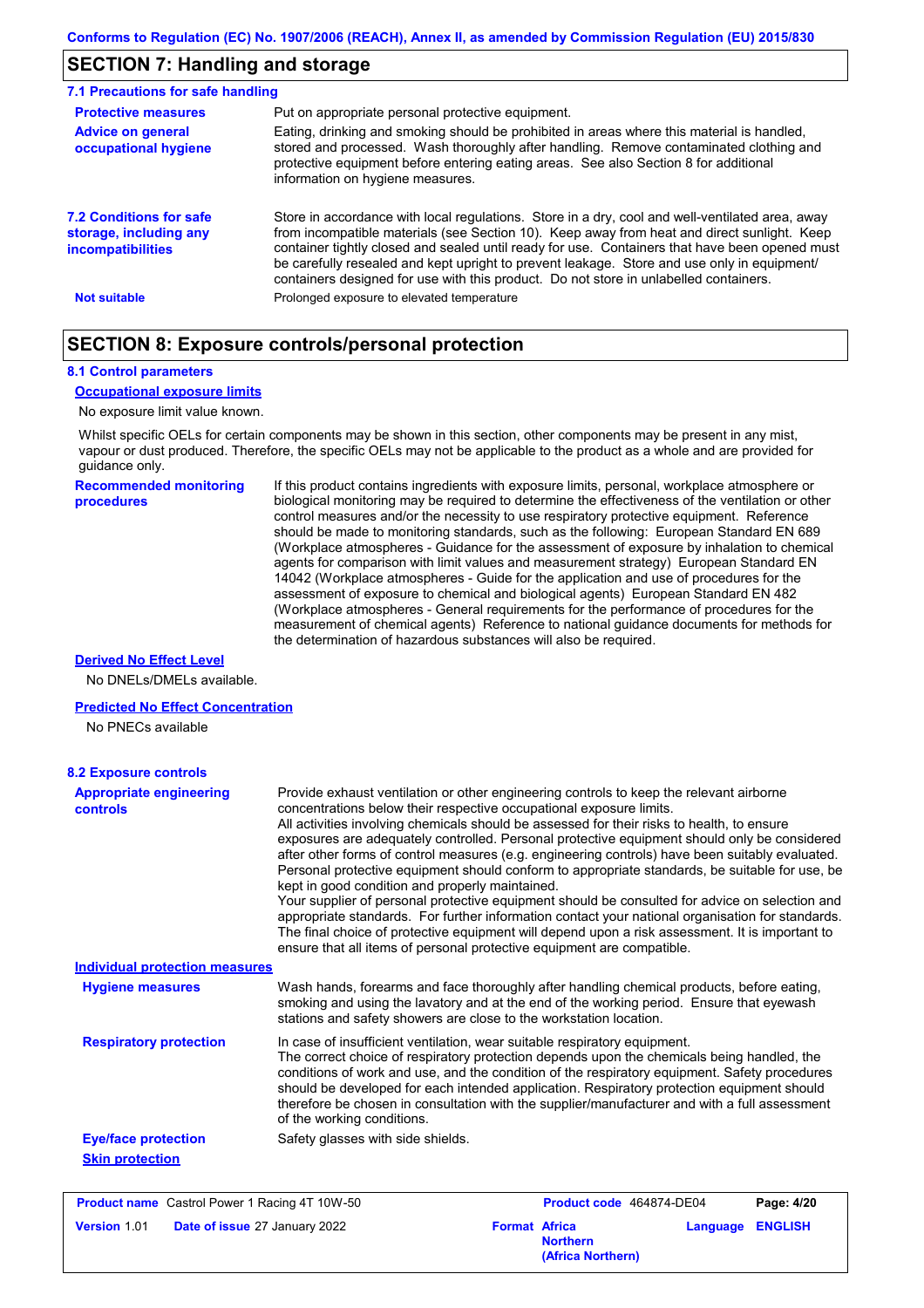# **SECTION 7: Handling and storage**

| 7.1 Precautions for safe handling                                      |                                                                                                                                                                                                                                                                                                                                                                                                                                                                                          |
|------------------------------------------------------------------------|------------------------------------------------------------------------------------------------------------------------------------------------------------------------------------------------------------------------------------------------------------------------------------------------------------------------------------------------------------------------------------------------------------------------------------------------------------------------------------------|
| <b>Protective measures</b>                                             | Put on appropriate personal protective equipment.                                                                                                                                                                                                                                                                                                                                                                                                                                        |
| <b>Advice on general</b><br>occupational hygiene                       | Eating, drinking and smoking should be prohibited in areas where this material is handled,<br>stored and processed. Wash thoroughly after handling. Remove contaminated clothing and<br>protective equipment before entering eating areas. See also Section 8 for additional<br>information on hygiene measures.                                                                                                                                                                         |
| 7.2 Conditions for safe<br>storage, including any<br>incompatibilities | Store in accordance with local requlations. Store in a dry, cool and well-ventilated area, away<br>from incompatible materials (see Section 10). Keep away from heat and direct sunlight. Keep<br>container tightly closed and sealed until ready for use. Containers that have been opened must<br>be carefully resealed and kept upright to prevent leakage. Store and use only in equipment/<br>containers designed for use with this product. Do not store in unlabelled containers. |
| <b>Not suitable</b>                                                    | Prolonged exposure to elevated temperature                                                                                                                                                                                                                                                                                                                                                                                                                                               |

### **SECTION 8: Exposure controls/personal protection**

#### **8.1 Control parameters**

#### **Occupational exposure limits**

#### No exposure limit value known.

Whilst specific OELs for certain components may be shown in this section, other components may be present in any mist, vapour or dust produced. Therefore, the specific OELs may not be applicable to the product as a whole and are provided for guidance only.

**Recommended monitoring procedures** If this product contains ingredients with exposure limits, personal, workplace atmosphere or biological monitoring may be required to determine the effectiveness of the ventilation or other control measures and/or the necessity to use respiratory protective equipment. Reference should be made to monitoring standards, such as the following: European Standard EN 689 (Workplace atmospheres - Guidance for the assessment of exposure by inhalation to chemical agents for comparison with limit values and measurement strategy) European Standard EN 14042 (Workplace atmospheres - Guide for the application and use of procedures for the assessment of exposure to chemical and biological agents) European Standard EN 482 (Workplace atmospheres - General requirements for the performance of procedures for the measurement of chemical agents) Reference to national guidance documents for methods for the determination of hazardous substances will also be required.

#### **Derived No Effect Level**

No DNELs/DMELs available.

#### **Predicted No Effect Concentration**

No PNECs available

| <b>Appropriate engineering</b><br><b>controls</b> | Provide exhaust ventilation or other engineering controls to keep the relevant airborne<br>concentrations below their respective occupational exposure limits.<br>All activities involving chemicals should be assessed for their risks to health, to ensure<br>exposures are adequately controlled. Personal protective equipment should only be considered<br>after other forms of control measures (e.g. engineering controls) have been suitably evaluated.<br>Personal protective equipment should conform to appropriate standards, be suitable for use, be<br>kept in good condition and properly maintained.<br>Your supplier of personal protective equipment should be consulted for advice on selection and<br>appropriate standards. For further information contact your national organisation for standards.<br>The final choice of protective equipment will depend upon a risk assessment. It is important to<br>ensure that all items of personal protective equipment are compatible. |
|---------------------------------------------------|---------------------------------------------------------------------------------------------------------------------------------------------------------------------------------------------------------------------------------------------------------------------------------------------------------------------------------------------------------------------------------------------------------------------------------------------------------------------------------------------------------------------------------------------------------------------------------------------------------------------------------------------------------------------------------------------------------------------------------------------------------------------------------------------------------------------------------------------------------------------------------------------------------------------------------------------------------------------------------------------------------|
| <b>Individual protection measures</b>             |                                                                                                                                                                                                                                                                                                                                                                                                                                                                                                                                                                                                                                                                                                                                                                                                                                                                                                                                                                                                         |
| <b>Hygiene measures</b>                           | Wash hands, forearms and face thoroughly after handling chemical products, before eating,<br>smoking and using the lavatory and at the end of the working period. Ensure that eyewash<br>stations and safety showers are close to the workstation location.                                                                                                                                                                                                                                                                                                                                                                                                                                                                                                                                                                                                                                                                                                                                             |
| <b>Respiratory protection</b>                     | In case of insufficient ventilation, wear suitable respiratory equipment.<br>The correct choice of respiratory protection depends upon the chemicals being handled, the<br>conditions of work and use, and the condition of the respiratory equipment. Safety procedures<br>should be developed for each intended application. Respiratory protection equipment should<br>therefore be chosen in consultation with the supplier/manufacturer and with a full assessment<br>of the working conditions.                                                                                                                                                                                                                                                                                                                                                                                                                                                                                                   |
| <b>Eye/face protection</b>                        | Safety glasses with side shields.                                                                                                                                                                                                                                                                                                                                                                                                                                                                                                                                                                                                                                                                                                                                                                                                                                                                                                                                                                       |
| <b>Skin protection</b>                            |                                                                                                                                                                                                                                                                                                                                                                                                                                                                                                                                                                                                                                                                                                                                                                                                                                                                                                                                                                                                         |

| <b>Product name</b> Castrol Power 1 Racing 4T 10W-50 |                                      | Product code 464874-DE04 |                                      | Page: 4/20 |                         |
|------------------------------------------------------|--------------------------------------|--------------------------|--------------------------------------|------------|-------------------------|
| <b>Version 1.01</b>                                  | <b>Date of issue 27 January 2022</b> | <b>Format Africa</b>     | <b>Northern</b><br>(Africa Northern) |            | <b>Language ENGLISH</b> |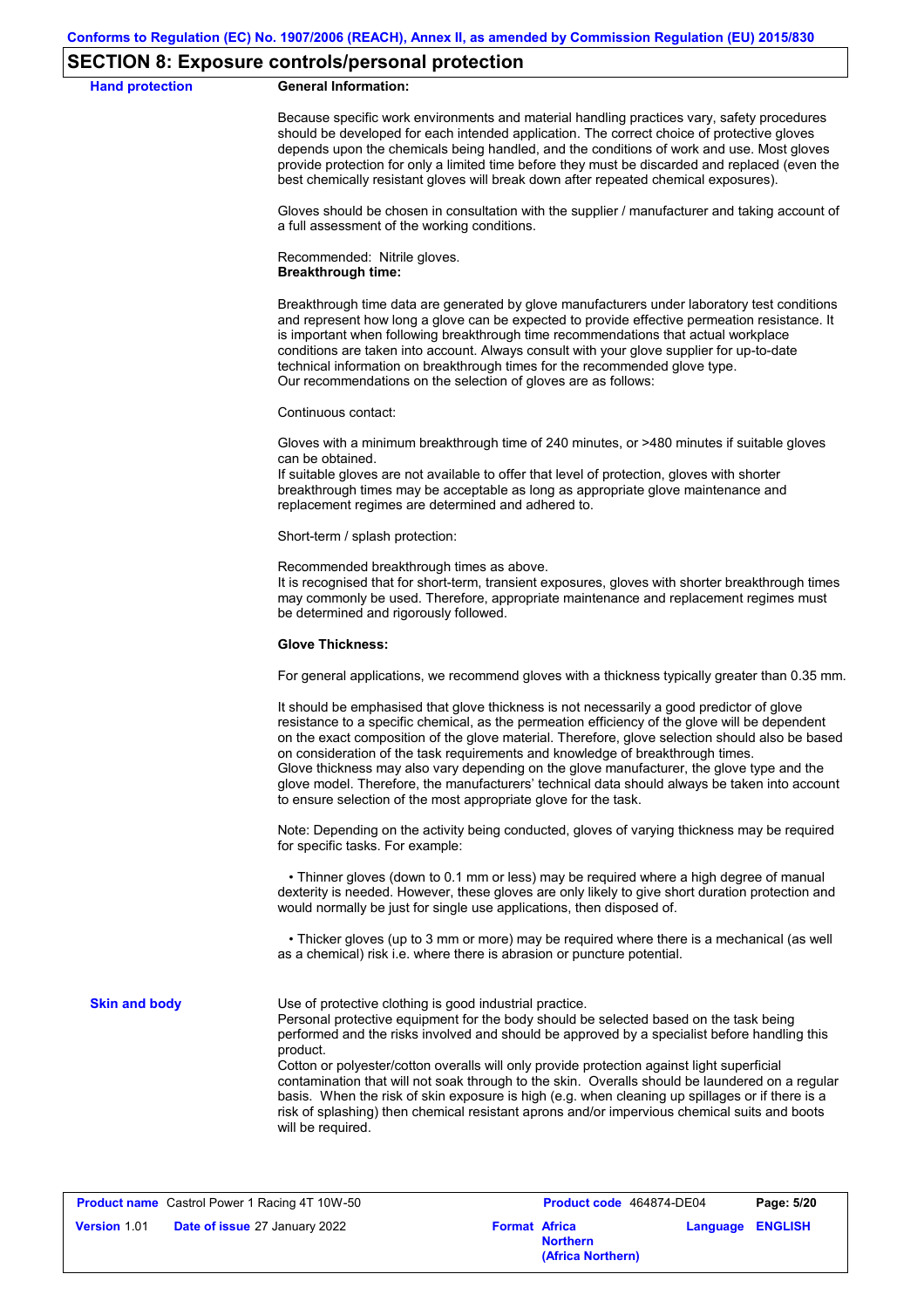#### **SECTION 8: Exposure controls/personal protection**

#### **Hand protection General Information:**

Because specific work environments and material handling practices vary, safety procedures should be developed for each intended application. The correct choice of protective gloves depends upon the chemicals being handled, and the conditions of work and use. Most gloves provide protection for only a limited time before they must be discarded and replaced (even the best chemically resistant gloves will break down after repeated chemical exposures).

Gloves should be chosen in consultation with the supplier / manufacturer and taking account of a full assessment of the working conditions.

Recommended: Nitrile gloves. **Breakthrough time:**

Breakthrough time data are generated by glove manufacturers under laboratory test conditions and represent how long a glove can be expected to provide effective permeation resistance. It is important when following breakthrough time recommendations that actual workplace conditions are taken into account. Always consult with your glove supplier for up-to-date technical information on breakthrough times for the recommended glove type. Our recommendations on the selection of gloves are as follows:

Continuous contact:

Gloves with a minimum breakthrough time of 240 minutes, or >480 minutes if suitable gloves can be obtained.

If suitable gloves are not available to offer that level of protection, gloves with shorter breakthrough times may be acceptable as long as appropriate glove maintenance and replacement regimes are determined and adhered to.

Short-term / splash protection:

Recommended breakthrough times as above.

It is recognised that for short-term, transient exposures, gloves with shorter breakthrough times may commonly be used. Therefore, appropriate maintenance and replacement regimes must be determined and rigorously followed.

#### **Glove Thickness:**

For general applications, we recommend gloves with a thickness typically greater than 0.35 mm.

It should be emphasised that glove thickness is not necessarily a good predictor of glove resistance to a specific chemical, as the permeation efficiency of the glove will be dependent on the exact composition of the glove material. Therefore, glove selection should also be based on consideration of the task requirements and knowledge of breakthrough times. Glove thickness may also vary depending on the glove manufacturer, the glove type and the glove model. Therefore, the manufacturers' technical data should always be taken into account to ensure selection of the most appropriate glove for the task.

Note: Depending on the activity being conducted, gloves of varying thickness may be required for specific tasks. For example:

 • Thinner gloves (down to 0.1 mm or less) may be required where a high degree of manual dexterity is needed. However, these gloves are only likely to give short duration protection and would normally be just for single use applications, then disposed of.

 • Thicker gloves (up to 3 mm or more) may be required where there is a mechanical (as well as a chemical) risk i.e. where there is abrasion or puncture potential.

**Skin and body**

Use of protective clothing is good industrial practice.

Personal protective equipment for the body should be selected based on the task being performed and the risks involved and should be approved by a specialist before handling this product.

Cotton or polyester/cotton overalls will only provide protection against light superficial contamination that will not soak through to the skin. Overalls should be laundered on a regular basis. When the risk of skin exposure is high (e.g. when cleaning up spillages or if there is a risk of splashing) then chemical resistant aprons and/or impervious chemical suits and boots will be required.

|                     | <b>Product name</b> Castrol Power 1 Racing 4T 10W-50 |                      | <b>Product co</b> |
|---------------------|------------------------------------------------------|----------------------|-------------------|
| <b>Version 1.01</b> | <b>Date of issue 27 January 2022</b>                 | <b>Format Africa</b> |                   |

| Castrol Power 1 Racing 4T 10W-50                             | Product code 464874-DE04             | Page: 5/20              |  |
|--------------------------------------------------------------|--------------------------------------|-------------------------|--|
| <b>Date of issue 27 January 2022</b><br><b>Format Africa</b> | <b>Northern</b><br>(Africa Northern) | <b>Language ENGLISH</b> |  |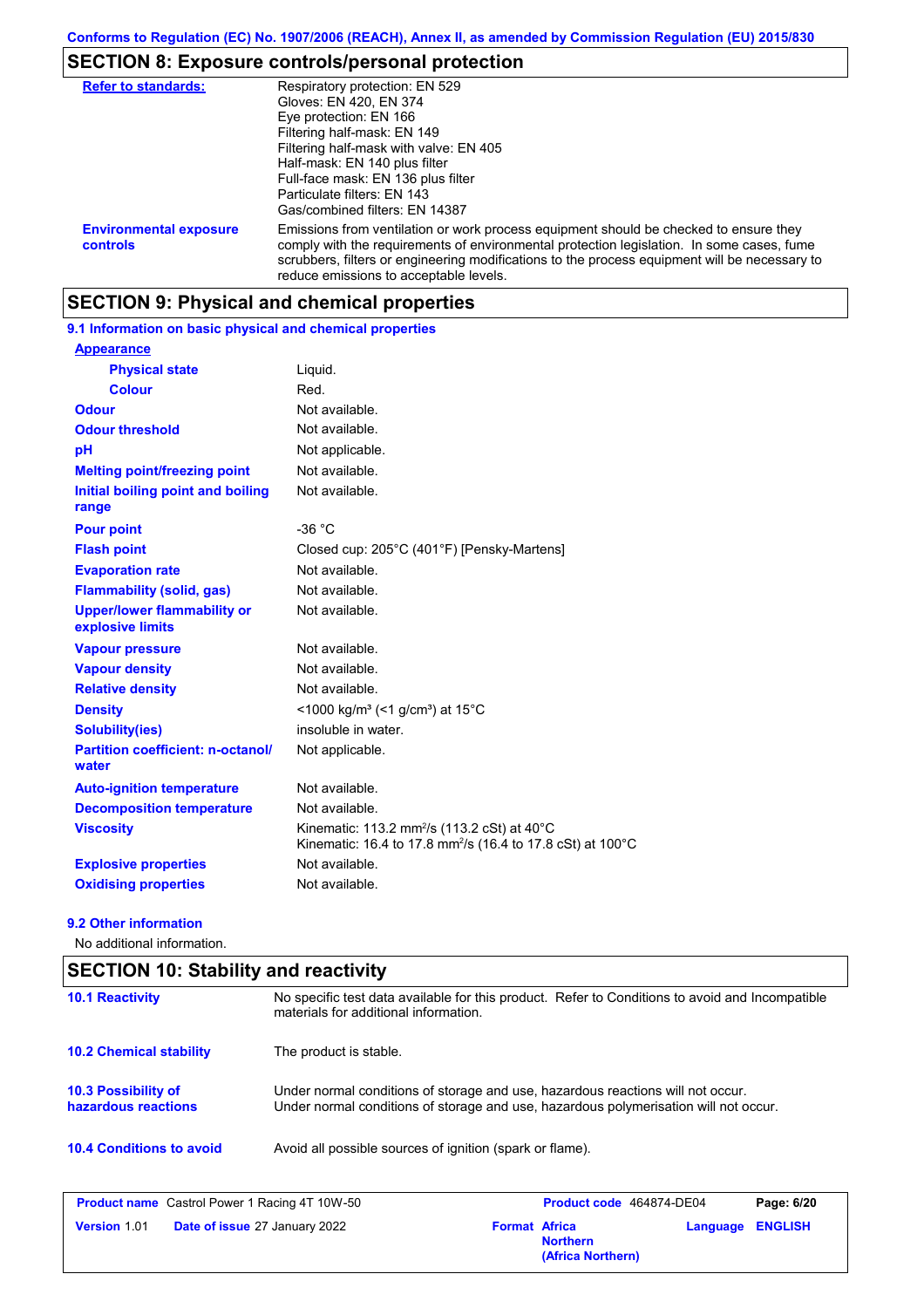# **SECTION 8: Exposure controls/personal protection**

| <b>Refer to standards:</b>                | Respiratory protection: EN 529<br>Gloves: EN 420, EN 374<br>Eye protection: EN 166<br>Filtering half-mask: EN 149<br>Filtering half-mask with valve: EN 405<br>Half-mask: EN 140 plus filter<br>Full-face mask: EN 136 plus filter<br>Particulate filters: EN 143<br>Gas/combined filters: EN 14387                           |
|-------------------------------------------|-------------------------------------------------------------------------------------------------------------------------------------------------------------------------------------------------------------------------------------------------------------------------------------------------------------------------------|
| <b>Environmental exposure</b><br>controls | Emissions from ventilation or work process equipment should be checked to ensure they<br>comply with the requirements of environmental protection legislation. In some cases, fume<br>scrubbers, filters or engineering modifications to the process equipment will be necessary to<br>reduce emissions to acceptable levels. |

# **SECTION 9: Physical and chemical properties**

**9.1 Information on basic physical and chemical properties**

| <b>Appearance</b>                                      |                                                                                                                                             |
|--------------------------------------------------------|---------------------------------------------------------------------------------------------------------------------------------------------|
| <b>Physical state</b>                                  | Liquid.                                                                                                                                     |
| <b>Colour</b>                                          | Red.                                                                                                                                        |
| Odour                                                  | Not available.                                                                                                                              |
| <b>Odour threshold</b>                                 | Not available.                                                                                                                              |
| pH                                                     | Not applicable.                                                                                                                             |
| <b>Melting point/freezing point</b>                    | Not available.                                                                                                                              |
| Initial boiling point and boiling<br>range             | Not available.                                                                                                                              |
| <b>Pour point</b>                                      | $-36 °C$                                                                                                                                    |
| <b>Flash point</b>                                     | Closed cup: 205°C (401°F) [Pensky-Martens]                                                                                                  |
| <b>Evaporation rate</b>                                | Not available.                                                                                                                              |
| <b>Flammability (solid, gas)</b>                       | Not available.                                                                                                                              |
| <b>Upper/lower flammability or</b><br>explosive limits | Not available.                                                                                                                              |
| <b>Vapour pressure</b>                                 | Not available.                                                                                                                              |
| <b>Vapour density</b>                                  | Not available.                                                                                                                              |
| <b>Relative density</b>                                | Not available.                                                                                                                              |
| <b>Density</b>                                         | <1000 kg/m <sup>3</sup> (<1 g/cm <sup>3</sup> ) at 15 <sup>°</sup> C                                                                        |
| <b>Solubility(ies)</b>                                 | insoluble in water.                                                                                                                         |
| <b>Partition coefficient: n-octanol/</b><br>water      | Not applicable.                                                                                                                             |
| <b>Auto-ignition temperature</b>                       | Not available.                                                                                                                              |
| <b>Decomposition temperature</b>                       | Not available.                                                                                                                              |
| <b>Viscosity</b>                                       | Kinematic: 113.2 mm <sup>2</sup> /s (113.2 cSt) at $40^{\circ}$ C<br>Kinematic: 16.4 to 17.8 mm <sup>2</sup> /s (16.4 to 17.8 cSt) at 100°C |
| <b>Explosive properties</b>                            | Not available.                                                                                                                              |
| <b>Oxidising properties</b>                            | Not available.                                                                                                                              |

#### **9.2 Other information**

No additional information.

| <b>SECTION 10: Stability and reactivity</b>                                                 |                                                                                                                                                                         |                      |                                      |          |                |
|---------------------------------------------------------------------------------------------|-------------------------------------------------------------------------------------------------------------------------------------------------------------------------|----------------------|--------------------------------------|----------|----------------|
| <b>10.1 Reactivity</b>                                                                      | No specific test data available for this product. Refer to Conditions to avoid and Incompatible<br>materials for additional information.                                |                      |                                      |          |                |
| <b>10.2 Chemical stability</b>                                                              | The product is stable.                                                                                                                                                  |                      |                                      |          |                |
| <b>10.3 Possibility of</b><br>hazardous reactions                                           | Under normal conditions of storage and use, hazardous reactions will not occur.<br>Under normal conditions of storage and use, hazardous polymerisation will not occur. |                      |                                      |          |                |
| <b>10.4 Conditions to avoid</b><br>Avoid all possible sources of ignition (spark or flame). |                                                                                                                                                                         |                      |                                      |          |                |
| <b>Product name</b> Castrol Power 1 Racing 4T 10W-50                                        |                                                                                                                                                                         |                      | Product code 464874-DE04             |          | Page: 6/20     |
| Version 1.01                                                                                | Date of issue 27 January 2022                                                                                                                                           | <b>Format Africa</b> | <b>Northern</b><br>(Africa Northern) | Language | <b>ENGLISH</b> |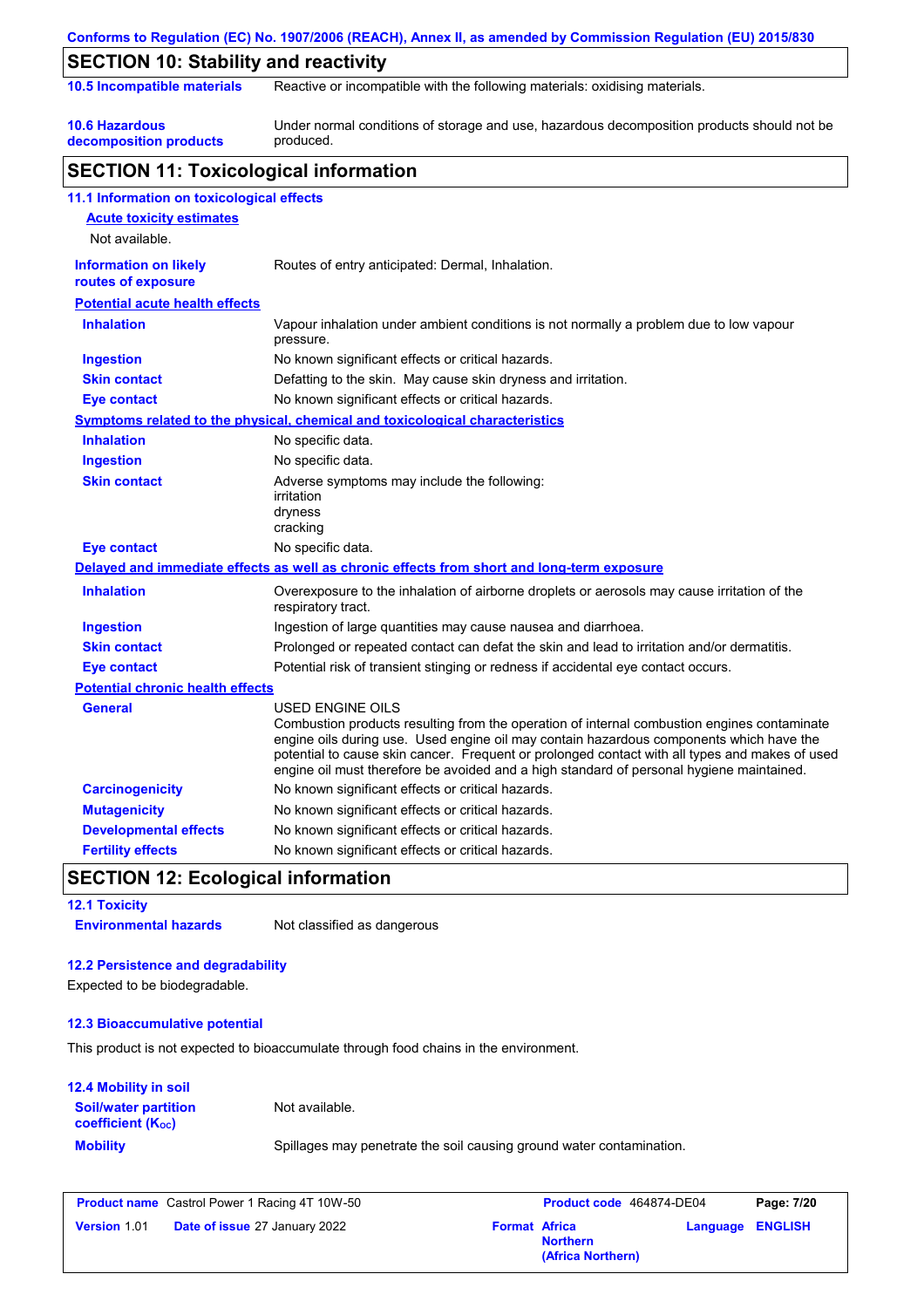| 10.5 Incompatible materials                        | Reactive or incompatible with the following materials: oxidising materials.                                                                                                                                                                                                                                                                                                                              |
|----------------------------------------------------|----------------------------------------------------------------------------------------------------------------------------------------------------------------------------------------------------------------------------------------------------------------------------------------------------------------------------------------------------------------------------------------------------------|
| <b>10.6 Hazardous</b><br>decomposition products    | Under normal conditions of storage and use, hazardous decomposition products should not be<br>produced.                                                                                                                                                                                                                                                                                                  |
| <b>SECTION 11: Toxicological information</b>       |                                                                                                                                                                                                                                                                                                                                                                                                          |
| 11.1 Information on toxicological effects          |                                                                                                                                                                                                                                                                                                                                                                                                          |
| <b>Acute toxicity estimates</b><br>Not available.  |                                                                                                                                                                                                                                                                                                                                                                                                          |
| <b>Information on likely</b><br>routes of exposure | Routes of entry anticipated: Dermal, Inhalation.                                                                                                                                                                                                                                                                                                                                                         |
| <b>Potential acute health effects</b>              |                                                                                                                                                                                                                                                                                                                                                                                                          |
| <b>Inhalation</b>                                  | Vapour inhalation under ambient conditions is not normally a problem due to low vapour<br>pressure.                                                                                                                                                                                                                                                                                                      |
| <b>Ingestion</b>                                   | No known significant effects or critical hazards.                                                                                                                                                                                                                                                                                                                                                        |
| <b>Skin contact</b>                                | Defatting to the skin. May cause skin dryness and irritation.                                                                                                                                                                                                                                                                                                                                            |
| <b>Eye contact</b>                                 | No known significant effects or critical hazards.                                                                                                                                                                                                                                                                                                                                                        |
|                                                    | <b>Symptoms related to the physical, chemical and toxicological characteristics</b>                                                                                                                                                                                                                                                                                                                      |
| <b>Inhalation</b>                                  | No specific data.                                                                                                                                                                                                                                                                                                                                                                                        |
| <b>Ingestion</b>                                   | No specific data.                                                                                                                                                                                                                                                                                                                                                                                        |
| <b>Skin contact</b>                                | Adverse symptoms may include the following:<br>irritation<br>dryness<br>cracking                                                                                                                                                                                                                                                                                                                         |
| <b>Eye contact</b>                                 | No specific data.                                                                                                                                                                                                                                                                                                                                                                                        |
|                                                    | Delayed and immediate effects as well as chronic effects from short and long-term exposure                                                                                                                                                                                                                                                                                                               |
| <b>Inhalation</b>                                  | Overexposure to the inhalation of airborne droplets or aerosols may cause irritation of the<br>respiratory tract.                                                                                                                                                                                                                                                                                        |
| <b>Ingestion</b>                                   | Ingestion of large quantities may cause nausea and diarrhoea.                                                                                                                                                                                                                                                                                                                                            |
| <b>Skin contact</b>                                | Prolonged or repeated contact can defat the skin and lead to irritation and/or dermatitis.                                                                                                                                                                                                                                                                                                               |
| <b>Eye contact</b>                                 | Potential risk of transient stinging or redness if accidental eye contact occurs.                                                                                                                                                                                                                                                                                                                        |
| <b>Potential chronic health effects</b>            |                                                                                                                                                                                                                                                                                                                                                                                                          |
| <b>General</b>                                     | USED ENGINE OILS<br>Combustion products resulting from the operation of internal combustion engines contaminate<br>engine oils during use. Used engine oil may contain hazardous components which have the<br>potential to cause skin cancer. Frequent or prolonged contact with all types and makes of used<br>engine oil must therefore be avoided and a high standard of personal hygiene maintained. |
| <b>Carcinogenicity</b>                             | No known significant effects or critical hazards.                                                                                                                                                                                                                                                                                                                                                        |
| <b>Mutagenicity</b>                                | No known significant effects or critical hazards.                                                                                                                                                                                                                                                                                                                                                        |
| <b>Developmental effects</b>                       | No known significant effects or critical hazards.                                                                                                                                                                                                                                                                                                                                                        |
| <b>Fertility effects</b>                           | No known significant effects or critical hazards.                                                                                                                                                                                                                                                                                                                                                        |
| <b>SECTION 12: Ecological information</b>          |                                                                                                                                                                                                                                                                                                                                                                                                          |
|                                                    |                                                                                                                                                                                                                                                                                                                                                                                                          |
| <b>12.1 Toxicity</b>                               |                                                                                                                                                                                                                                                                                                                                                                                                          |

### **12.3 Bioaccumulative potential**

This product is not expected to bioaccumulate through food chains in the environment.

### **12.4 Mobility in soil Soil/water partition**

Not available.

**coefficient (KOC)**

**Mobility** Spillages may penetrate the soil causing ground water contamination.

|                     | <b>Product name</b> Castrol Power 1 Racing 4T 10W-50 |                      | <b>Product co</b> |
|---------------------|------------------------------------------------------|----------------------|-------------------|
| <b>Version 1.01</b> | <b>Date of issue 27 January 2022</b>                 | <b>Format Africa</b> |                   |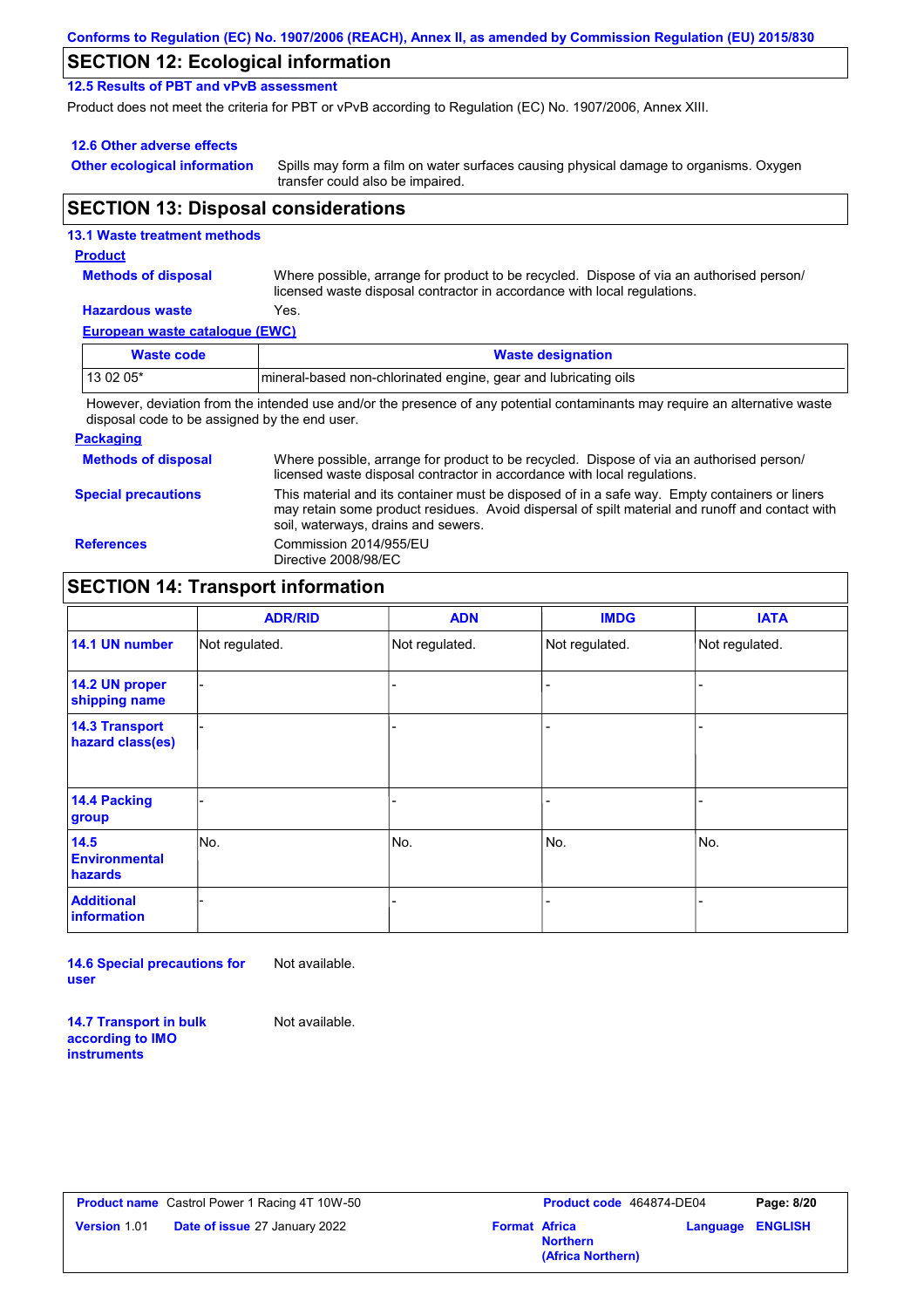|  | Conforms to Regulation (EC) No. 1907/2006 (REACH), Annex II, as amended by Commission Regulation (EU) 2015/830 |  |
|--|----------------------------------------------------------------------------------------------------------------|--|
|--|----------------------------------------------------------------------------------------------------------------|--|

# **SECTION 12: Ecological information**

**12.5 Results of PBT and vPvB assessment**

Product does not meet the criteria for PBT or vPvB according to Regulation (EC) No. 1907/2006, Annex XIII.

#### **12.6 Other adverse effects**

**Other ecological information**

Spills may form a film on water surfaces causing physical damage to organisms. Oxygen transfer could also be impaired.

### **SECTION 13: Disposal considerations**

# **European waste catalogue (EWC) Hazardous waste** Yes. Where possible, arrange for product to be recycled. Dispose of via an authorised person/ licensed waste disposal contractor in accordance with local regulations. **Methods of disposal 13.1 Waste treatment methods Product Waste code Waste designation** 13 02 05\* | mineral-based non-chlorinated engine, gear and lubricating oils

However, deviation from the intended use and/or the presence of any potential contaminants may require an alternative waste disposal code to be assigned by the end user.

#### **Packaging**

| <b>Methods of disposal</b> | Where possible, arrange for product to be recycled. Dispose of via an authorised person/<br>licensed waste disposal contractor in accordance with local regulations.                                                                    |
|----------------------------|-----------------------------------------------------------------------------------------------------------------------------------------------------------------------------------------------------------------------------------------|
| <b>Special precautions</b> | This material and its container must be disposed of in a safe way. Empty containers or liners<br>may retain some product residues. Avoid dispersal of spilt material and runoff and contact with<br>soil, waterways, drains and sewers. |
| <b>References</b>          | Commission 2014/955/EU<br>Directive 2008/98/EC                                                                                                                                                                                          |

# **SECTION 14: Transport information**

|                                           | <b>ADR/RID</b> | <b>ADN</b>     | <b>IMDG</b>    | <b>IATA</b>    |
|-------------------------------------------|----------------|----------------|----------------|----------------|
| 14.1 UN number                            | Not regulated. | Not regulated. | Not regulated. | Not regulated. |
| 14.2 UN proper<br>shipping name           |                |                |                |                |
| <b>14.3 Transport</b><br>hazard class(es) |                |                |                |                |
| 14.4 Packing<br>group                     |                |                |                |                |
| 14.5<br><b>Environmental</b><br>hazards   | No.            | No.            | No.            | No.            |
| <b>Additional</b><br>information          |                |                |                |                |

**14.6 Special precautions for user** Not available.

**14.7 Transport in bulk according to IMO instruments**

Not available.

|                     | <b>Product name</b> Castrol Power 1 Racing 4T 10W-50 |                      | <b>Product code</b> 464874-DE04      |                         | Page: 8/20 |
|---------------------|------------------------------------------------------|----------------------|--------------------------------------|-------------------------|------------|
| <b>Version 1.01</b> | <b>Date of issue 27 January 2022</b>                 | <b>Format Africa</b> | <b>Northern</b><br>(Africa Northern) | <b>Language ENGLISH</b> |            |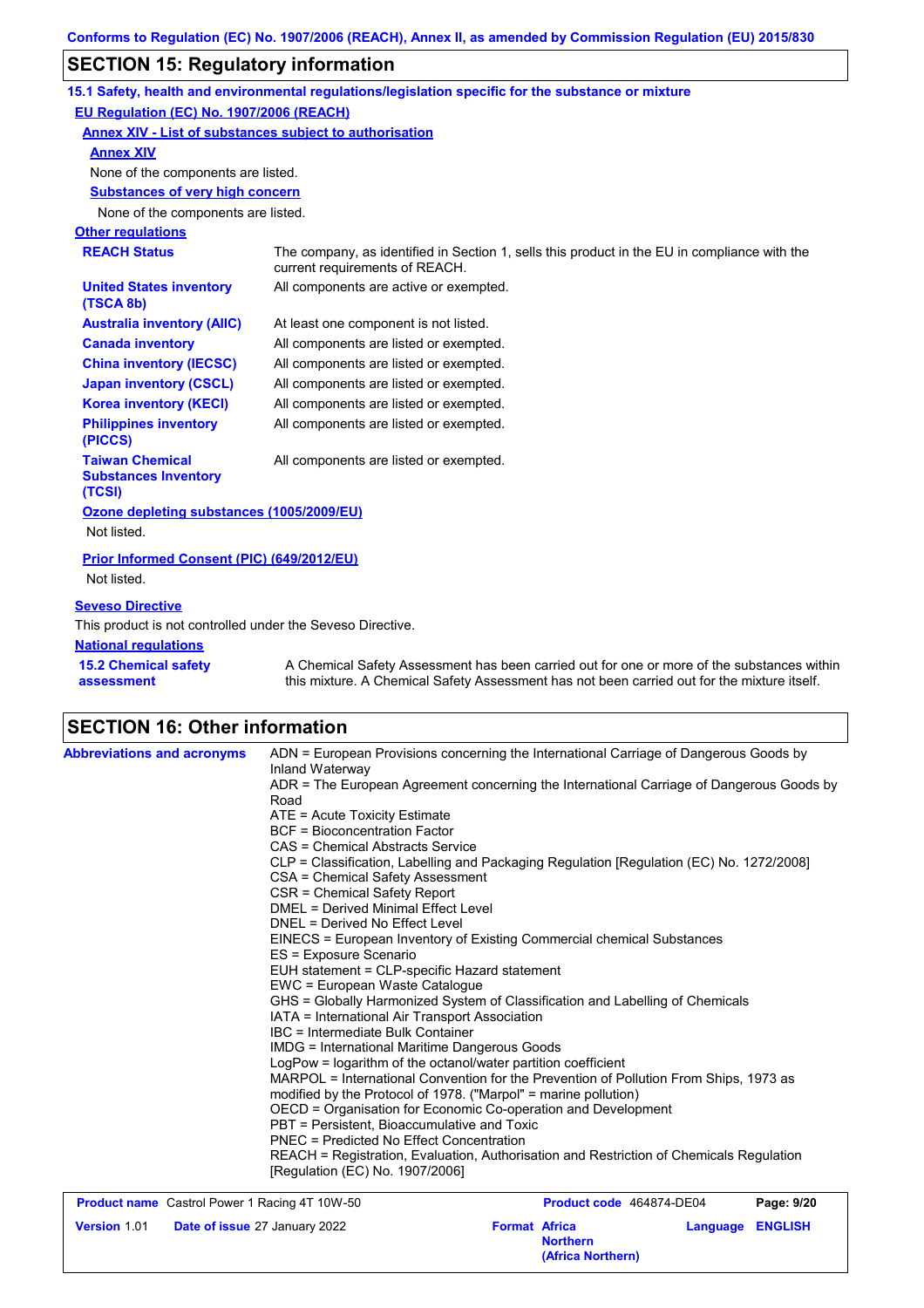# **SECTION 15: Regulatory information**

| $\overline{0}$ . $\overline{0}$ , $\overline{0}$ , $\overline{0}$ , $\overline{0}$ , $\overline{0}$ , $\overline{0}$ , $\overline{0}$ , $\overline{0}$ , $\overline{0}$ , $\overline{0}$ , $\overline{0}$ , $\overline{0}$ , $\overline{0}$ , $\overline{0}$ , $\overline{0}$ , $\overline{0}$ , $\overline{0}$ , $\overline{0}$ , $\overline{0}$ , |                                                                                                                                                                                           |
|-----------------------------------------------------------------------------------------------------------------------------------------------------------------------------------------------------------------------------------------------------------------------------------------------------------------------------------------------------|-------------------------------------------------------------------------------------------------------------------------------------------------------------------------------------------|
|                                                                                                                                                                                                                                                                                                                                                     | 15.1 Safety, health and environmental regulations/legislation specific for the substance or mixture                                                                                       |
| EU Regulation (EC) No. 1907/2006 (REACH)                                                                                                                                                                                                                                                                                                            |                                                                                                                                                                                           |
|                                                                                                                                                                                                                                                                                                                                                     | <b>Annex XIV - List of substances subject to authorisation</b>                                                                                                                            |
| <b>Annex XIV</b>                                                                                                                                                                                                                                                                                                                                    |                                                                                                                                                                                           |
| None of the components are listed.                                                                                                                                                                                                                                                                                                                  |                                                                                                                                                                                           |
| <b>Substances of very high concern</b>                                                                                                                                                                                                                                                                                                              |                                                                                                                                                                                           |
| None of the components are listed.                                                                                                                                                                                                                                                                                                                  |                                                                                                                                                                                           |
| <b>Other regulations</b>                                                                                                                                                                                                                                                                                                                            |                                                                                                                                                                                           |
| <b>REACH Status</b>                                                                                                                                                                                                                                                                                                                                 | The company, as identified in Section 1, sells this product in the EU in compliance with the<br>current requirements of REACH.                                                            |
| <b>United States inventory</b><br>(TSCA 8b)                                                                                                                                                                                                                                                                                                         | All components are active or exempted.                                                                                                                                                    |
| <b>Australia inventory (AIIC)</b>                                                                                                                                                                                                                                                                                                                   | At least one component is not listed.                                                                                                                                                     |
| <b>Canada inventory</b>                                                                                                                                                                                                                                                                                                                             | All components are listed or exempted.                                                                                                                                                    |
| <b>China inventory (IECSC)</b>                                                                                                                                                                                                                                                                                                                      | All components are listed or exempted.                                                                                                                                                    |
| <b>Japan inventory (CSCL)</b>                                                                                                                                                                                                                                                                                                                       | All components are listed or exempted.                                                                                                                                                    |
| <b>Korea inventory (KECI)</b>                                                                                                                                                                                                                                                                                                                       | All components are listed or exempted.                                                                                                                                                    |
| <b>Philippines inventory</b><br>(PICCS)                                                                                                                                                                                                                                                                                                             | All components are listed or exempted.                                                                                                                                                    |
| <b>Taiwan Chemical</b><br><b>Substances Inventory</b><br>(TCSI)                                                                                                                                                                                                                                                                                     | All components are listed or exempted.                                                                                                                                                    |
| Ozone depleting substances (1005/2009/EU)<br>Not listed.                                                                                                                                                                                                                                                                                            |                                                                                                                                                                                           |
| Prior Informed Consent (PIC) (649/2012/EU)<br>Not listed.                                                                                                                                                                                                                                                                                           |                                                                                                                                                                                           |
| <b>Seveso Directive</b>                                                                                                                                                                                                                                                                                                                             |                                                                                                                                                                                           |
| This product is not controlled under the Seveso Directive.<br><b>National regulations</b>                                                                                                                                                                                                                                                           |                                                                                                                                                                                           |
| <b>15.2 Chemical safety</b><br>assessment                                                                                                                                                                                                                                                                                                           | A Chemical Safety Assessment has been carried out for one or more of the substances within<br>this mixture. A Chemical Safety Assessment has not been carried out for the mixture itself. |

# **SECTION 16: Other information**

| <b>Abbreviations and acronyms</b>                    | ADN = European Provisions concerning the International Carriage of Dangerous Goods by<br>Inland Waterway                                                                                                                                                                                                               |  |  |  |  |
|------------------------------------------------------|------------------------------------------------------------------------------------------------------------------------------------------------------------------------------------------------------------------------------------------------------------------------------------------------------------------------|--|--|--|--|
|                                                      | ADR = The European Agreement concerning the International Carriage of Dangerous Goods by<br>Road                                                                                                                                                                                                                       |  |  |  |  |
|                                                      | $ATE =$ Acute Toxicity Estimate                                                                                                                                                                                                                                                                                        |  |  |  |  |
|                                                      | <b>BCF</b> = Bioconcentration Factor                                                                                                                                                                                                                                                                                   |  |  |  |  |
|                                                      | CAS = Chemical Abstracts Service                                                                                                                                                                                                                                                                                       |  |  |  |  |
|                                                      | CLP = Classification, Labelling and Packaging Regulation [Regulation (EC) No. 1272/2008]                                                                                                                                                                                                                               |  |  |  |  |
|                                                      | CSA = Chemical Safety Assessment                                                                                                                                                                                                                                                                                       |  |  |  |  |
|                                                      | CSR = Chemical Safety Report                                                                                                                                                                                                                                                                                           |  |  |  |  |
|                                                      | <b>DMEL = Derived Minimal Effect Level</b>                                                                                                                                                                                                                                                                             |  |  |  |  |
|                                                      | DNEL = Derived No Effect Level                                                                                                                                                                                                                                                                                         |  |  |  |  |
|                                                      | EINECS = European Inventory of Existing Commercial chemical Substances<br>ES = Exposure Scenario<br>EUH statement = CLP-specific Hazard statement<br>EWC = European Waste Catalogue<br>GHS = Globally Harmonized System of Classification and Labelling of Chemicals<br>IATA = International Air Transport Association |  |  |  |  |
|                                                      |                                                                                                                                                                                                                                                                                                                        |  |  |  |  |
|                                                      |                                                                                                                                                                                                                                                                                                                        |  |  |  |  |
|                                                      |                                                                                                                                                                                                                                                                                                                        |  |  |  |  |
|                                                      |                                                                                                                                                                                                                                                                                                                        |  |  |  |  |
|                                                      |                                                                                                                                                                                                                                                                                                                        |  |  |  |  |
|                                                      | IMDG = International Maritime Dangerous Goods                                                                                                                                                                                                                                                                          |  |  |  |  |
|                                                      | LogPow = logarithm of the octanol/water partition coefficient                                                                                                                                                                                                                                                          |  |  |  |  |
|                                                      | MARPOL = International Convention for the Prevention of Pollution From Ships, 1973 as                                                                                                                                                                                                                                  |  |  |  |  |
|                                                      | modified by the Protocol of 1978. ("Marpol" = marine pollution)                                                                                                                                                                                                                                                        |  |  |  |  |
|                                                      | OECD = Organisation for Economic Co-operation and Development                                                                                                                                                                                                                                                          |  |  |  |  |
|                                                      | PBT = Persistent. Bioaccumulative and Toxic<br><b>PNEC = Predicted No Effect Concentration</b>                                                                                                                                                                                                                         |  |  |  |  |
|                                                      |                                                                                                                                                                                                                                                                                                                        |  |  |  |  |
|                                                      | REACH = Registration, Evaluation, Authorisation and Restriction of Chemicals Regulation<br>[Regulation (EC) No. 1907/2006]                                                                                                                                                                                             |  |  |  |  |
| <b>Product name</b> Castrol Power 1 Racing 4T 10W-50 | Product code 464874-DE04<br>Page: 9/20                                                                                                                                                                                                                                                                                 |  |  |  |  |
| <b>Version 1.01</b>                                  | <b>Format Africa</b><br><b>ENGLISH</b>                                                                                                                                                                                                                                                                                 |  |  |  |  |
|                                                      | Date of issue 27 January 2022<br>Language<br><b>Northern</b>                                                                                                                                                                                                                                                           |  |  |  |  |

**(Africa Northern)**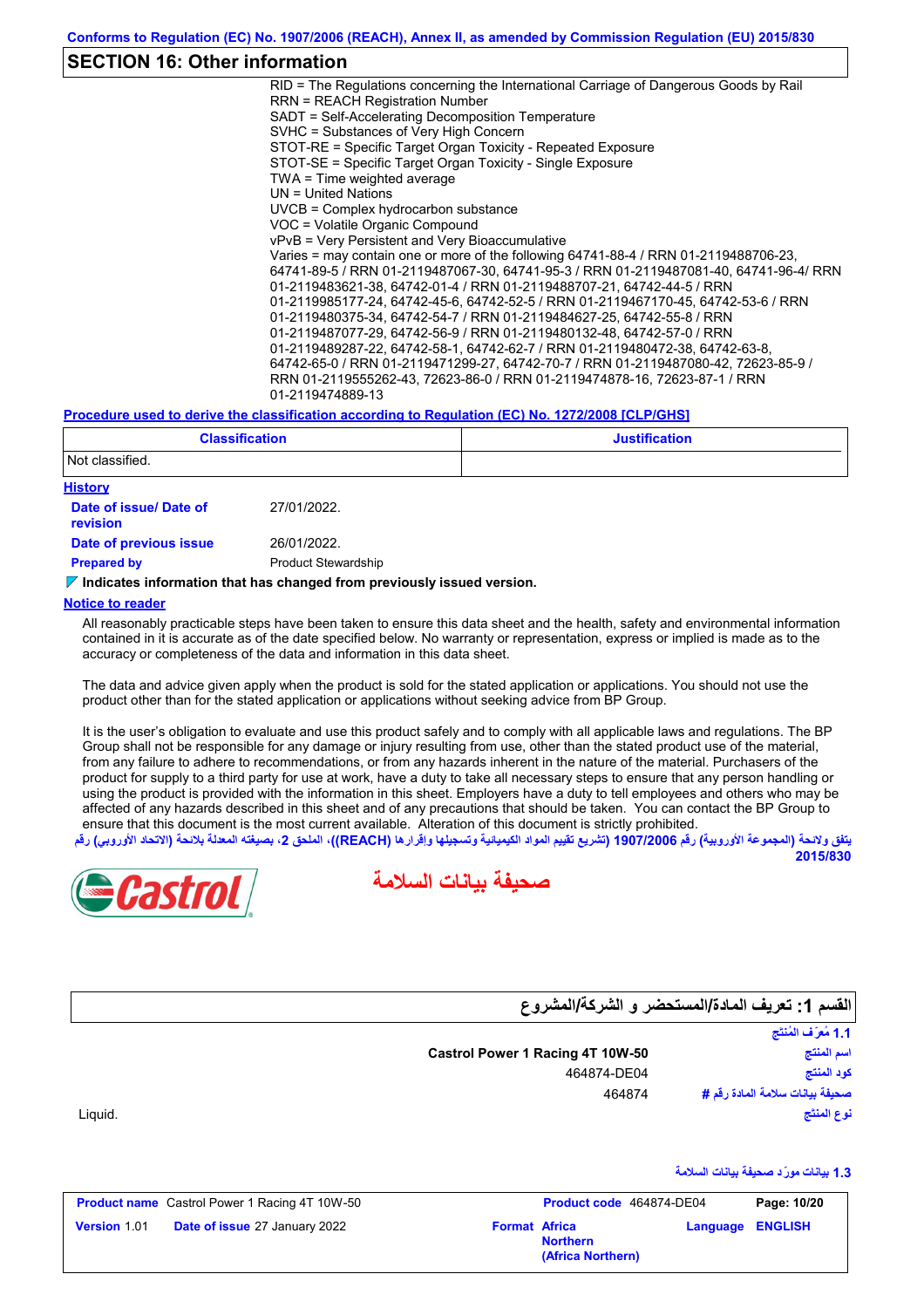# **SECTION 16: Other information**

RID = The Regulations concerning the International Carriage of Dangerous Goods by Rail RRN = REACH Registration Number SADT = Self-Accelerating Decomposition Temperature SVHC = Substances of Very High Concern STOT-RE = Specific Target Organ Toxicity - Repeated Exposure STOT-SE = Specific Target Organ Toxicity - Single Exposure TWA = Time weighted average UN = United Nations UVCB = Complex hydrocarbon substance VOC = Volatile Organic Compound vPvB = Very Persistent and Very Bioaccumulative Varies = may contain one or more of the following 64741-88-4 / RRN 01-2119488706-23, 64741-89-5 / RRN 01-2119487067-30, 64741-95-3 / RRN 01-2119487081-40, 64741-96-4/ RRN 01-2119483621-38, 64742-01-4 / RRN 01-2119488707-21, 64742-44-5 / RRN 01-2119985177-24, 64742-45-6, 64742-52-5 / RRN 01-2119467170-45, 64742-53-6 / RRN 01-2119480375-34, 64742-54-7 / RRN 01-2119484627-25, 64742-55-8 / RRN 01-2119487077-29, 64742-56-9 / RRN 01-2119480132-48, 64742-57-0 / RRN 01-2119489287-22, 64742-58-1, 64742-62-7 / RRN 01-2119480472-38, 64742-63-8, 64742-65-0 / RRN 01-2119471299-27, 64742-70-7 / RRN 01-2119487080-42, 72623-85-9 / RRN 01-2119555262-43, 72623-86-0 / RRN 01-2119474878-16, 72623-87-1 / RRN 01-2119474889-13

#### **Procedure used to derive the classification according to Regulation (EC) No. 1272/2008 [CLP/GHS]**

| <b>Classification</b>                     |                            | <b>Justification</b> |  |  |  |
|-------------------------------------------|----------------------------|----------------------|--|--|--|
| Not classified.                           |                            |                      |  |  |  |
| <b>History</b>                            |                            |                      |  |  |  |
| Date of issue/ Date of<br><b>revision</b> | 27/01/2022.                |                      |  |  |  |
| Date of previous issue                    | 26/01/2022.                |                      |  |  |  |
| <b>Prepared by</b>                        | <b>Product Stewardship</b> |                      |  |  |  |

#### **Indicates information that has changed from previously issued version.**

#### **Notice to reader**

All reasonably practicable steps have been taken to ensure this data sheet and the health, safety and environmental information contained in it is accurate as of the date specified below. No warranty or representation, express or implied is made as to the accuracy or completeness of the data and information in this data sheet.

The data and advice given apply when the product is sold for the stated application or applications. You should not use the product other than for the stated application or applications without seeking advice from BP Group.

It is the user's obligation to evaluate and use this product safely and to comply with all applicable laws and regulations. The BP Group shall not be responsible for any damage or injury resulting from use, other than the stated product use of the material, from any failure to adhere to recommendations, or from any hazards inherent in the nature of the material. Purchasers of the product for supply to a third party for use at work, have a duty to take all necessary steps to ensure that any person handling or using the product is provided with the information in this sheet. Employers have a duty to tell employees and others who may be affected of any hazards described in this sheet and of any precautions that should be taken. You can contact the BP Group to ensure that this document is the most current available. Alteration of this document is strictly prohibited.

يتفق ولائحة (المجموعة الأوروبية) رقم 1907/2006 (تشريع تقييم المواد الكيميائية وتسجيلها وإقرارها (REACH)، الملحق 2، بصيغته المعدلة بلائحة (الاتحاد الأوروب*ي*) رقم **2015/830**





**القسم :1 تعریف المادة/المستحضر و الشركة/المشروع**

صحيفة بيانات سلامة المادة ر**قم #**<br>نوع المنتَج<br>1.3 بيانات مورِّد صحيفة بيانات السلامة **اسم المنتج نوع المنتَج كود المنتج صحیفة بیانات سلامة المادة رقم #** ا**لقسم 1: تعر<br>القسم 1: تعر**<br>اسم المنتج

Liquid.

|                     | <b>Product name</b> Castrol Power 1 Racing 4T 10W-50 |                      | Product code 464874-DE04             |                         | Page: 10/20 |
|---------------------|------------------------------------------------------|----------------------|--------------------------------------|-------------------------|-------------|
| <b>Version 1.01</b> | <b>Date of issue 27 January 2022</b>                 | <b>Format Africa</b> | <b>Northern</b><br>(Africa Northern) | <b>Language ENGLISH</b> |             |

**Castrol Power 1 Racing 4T 10W-50**

464874-DE04 464874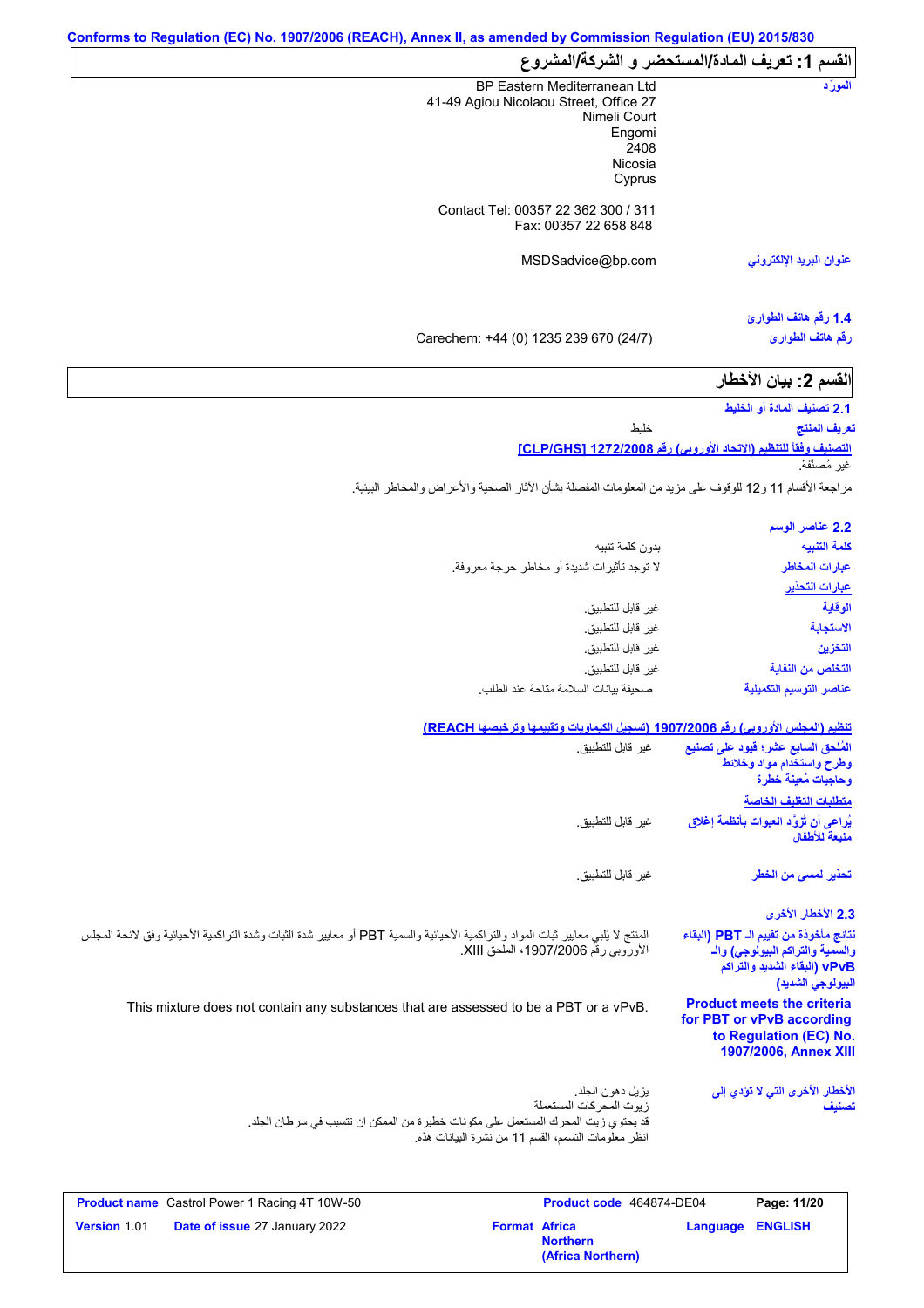| القسم 1: تعريف المادة/المستحضر و الشركة/المشروع |                         |
|-------------------------------------------------|-------------------------|
| BP Eastern Mediterranean Ltd                    | المورّد                 |
| 41-49 Agiou Nicolaou Street, Office 27          |                         |
| Nimeli Court                                    |                         |
| Engomi                                          |                         |
| 2408                                            |                         |
| Nicosia                                         |                         |
| Cyprus                                          |                         |
| Contact Tel: 00357 22 362 300 / 311             |                         |
| Fax: 00357 22 658 848                           |                         |
| MSDSadvice@bp.com                               | عنوان البريد الإلكتروني |
|                                                 |                         |
|                                                 | 1.4 رفّم هاتف الطوارئ   |
| Carechem: +44 (0) 1235 239 670 (24/7)           | رقم هاتف الطوارئ        |

| القسم 2: بيان الأخطار |  |  |
|-----------------------|--|--|
|                       |  |  |

**2.1 تصنیف المادة أو الخلیط** خلیط **تعریف المنتج**

**التصنیف وفقاً للتنظیم (الاتحاد الأوروبي) رقم 1272/2008 [GHS/CLP[** غیر مُصنَّفة.

مراجعة الأقسام 11 و12 للوقوف على مزید من المعلومات المفصلة بشأن الآثار الصحیة والأعراض والمخاطر البیئیة.

| 2.2 عناصر الوسم         |
|-------------------------|
| كلمة التنبيه            |
| عبارات المخاطر          |
| <u>عبارات التحذير</u>   |
| الوقاية                 |
| الاستجابة               |
| التخزين                 |
| التخلص من النفاية       |
| عناصر التوسيم التكميلية |
|                         |

#### **تنظیم (المجلس الأوروبي) رقم 1907/2006 (تسجیل الكیماویات وتقییمھا وترخیصھا REACH(**

| غير  قابل للتطبيق.                                                                                                                                                                           | المُلحق السابع عشر؛ فيود على تصنيع<br>وطرح واستخدام مواد وخلائط<br>وحاجيات مُعينة خطرة                                         |
|----------------------------------------------------------------------------------------------------------------------------------------------------------------------------------------------|--------------------------------------------------------------------------------------------------------------------------------|
|                                                                                                                                                                                              | متطلبات التغليف الخاصة                                                                                                         |
| غير قابل للتطبيق.                                                                                                                                                                            | يُراعى أن تُزوَّد العبوات بأنظمة إغلاق<br>منبعة للأطفال                                                                        |
| غير  قابل للتطبيق.                                                                                                                                                                           | تحذير لم <i>سى</i> من الخطر                                                                                                    |
|                                                                                                                                                                                              | 2.3 الأخطار الأخرى                                                                                                             |
| المنتج لا يُلبي معايير ثبات المواد والتراكمية الأحيائية والسمية PBT أو معايير شدة الثبات وشدة التراكمية الأحيائية وفق لانحة المجلس<br>الأوروبي رقم 1907/2006، الملحق XIII.                   | نتائج مأخوذة من تقييم الـ PBT (البقاء<br>والسمية والتراكم البيولوجي) والـ<br>vPvB (البقاء الشديد والتراكم<br>البيولوجي الشديد) |
| This mixture does not contain any substances that are assessed to be a PBT or a vPvB.                                                                                                        | <b>Product meets the criteria</b><br>for PBT or vPvB according<br>to Regulation (EC) No.<br>1907/2006, Annex XIII              |
| يز بل دهو ن الجلد.<br>ز بوت المحر كات المستعملة<br>قد يحتوي زيت المحرك المستعمل على مكونات خطير ة من الممكن ان تتسبب في سر طان الجلد.<br>انظر معلومات التسمم، القسم 11 من نشرة البيانات هذه. | الأخطار الأخرى التي لا تؤدي إلى<br>تصنيف                                                                                       |

|                     | <b>Product name</b> Castrol Power 1 Racing 4T 10W-50 |                      | <b>Product code</b> 464874-DE04      |                         | Page: 11/20 |
|---------------------|------------------------------------------------------|----------------------|--------------------------------------|-------------------------|-------------|
| <b>Version 1.01</b> | <b>Date of issue 27 January 2022</b>                 | <b>Format Africa</b> | <b>Northern</b><br>(Africa Northern) | <b>Language ENGLISH</b> |             |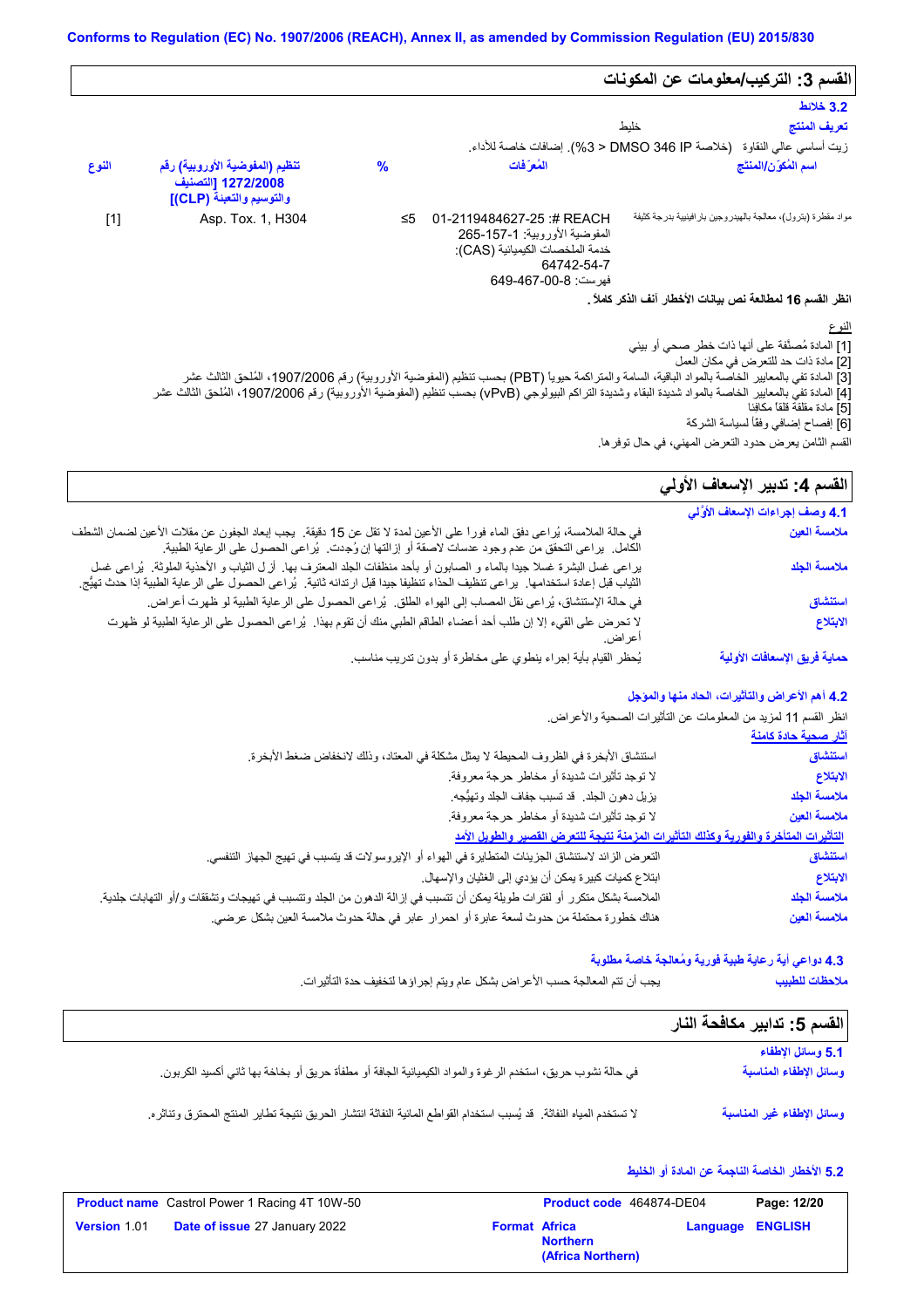|       |                                                                                  |      |                                                                                                                                                        | القسم 3: التركيب/معلومات عن المكونات                          |                                       |
|-------|----------------------------------------------------------------------------------|------|--------------------------------------------------------------------------------------------------------------------------------------------------------|---------------------------------------------------------------|---------------------------------------|
|       |                                                                                  |      |                                                                                                                                                        |                                                               | 3.2 خلائط                             |
|       |                                                                                  |      |                                                                                                                                                        | خليط                                                          | تعريف المنتج                          |
|       |                                                                                  |      | زيت أساسي عالي النقاوة   (خلاصة DMSO 346 IP < 3%). إضافات خاصة للأداء.                                                                                 |                                                               |                                       |
| النوع | تنظيم (المفوضية الأوروبية) رقم<br>1272/2008 [التصنيف<br>والتوسيم والتعبنة (CLP)] | $\%$ | المُعرَفات                                                                                                                                             |                                                               | اسم المُكوّن/المنتَج                  |
| $[1]$ | Asp. Tox. 1, H304                                                                | ≤5   | 01-2119484627-25 :# REACH<br>المفوضية الأوروبية: 1-157-265<br>خدمة الملخصات الكيميائية (CAS):<br>64742-54-7<br>فيرست: 8-00-649-649                     | مواد مقطرة (بترول)، معالجة بالهيدروجين بارافينيية بدرجة كثيفة |                                       |
|       |                                                                                  |      |                                                                                                                                                        | انظر القسم 16 لمطالعة نص بيانات الأخطار آنف الذكر كاملاً .    |                                       |
|       |                                                                                  |      |                                                                                                                                                        |                                                               | النوع                                 |
|       |                                                                                  |      | [3] المادة تفي بالمعايير الخاصة بالمواد الباقية، السامة والمتزاكمة حيوياً (PBT) بحسب تنظيم (المفوضية الأوروبية) رقم 1907/2006، المُلحق الثالث عشر      | [1] المادة مُصنَّفة على أنها ذات خطر صحى أو بيئي              | [2] مادة ذات حد للتعر ض في مكان العمل |
|       |                                                                                  |      | [4] المادة تفي بالمعايير الخاصة بالمواد شديدة البقاء وشديدة التراكم البيولوجي (vPvB) بحسب تنظيم (المفوضية الأوروبية) رقم 1907/2006، المُلحق الثالث عشر |                                                               | [5] مادة مقلقة قلقاً مكافِئا          |

[6] إفصاح إضافي وفقًأ لسیاسة الشركة

# القسم **4:** تدبير الإسعاف الأول*ي*

| اقتانات کا د                     | القسم الثامن يعرض حدود التعرض المهني، في حال توفر ها.                                                                                                                                                                                                       |  |  |
|----------------------------------|-------------------------------------------------------------------------------------------------------------------------------------------------------------------------------------------------------------------------------------------------------------|--|--|
| القسم 4: تدبير الإسعاف الأولي    |                                                                                                                                                                                                                                                             |  |  |
| 4.1 وصف إجراءات الإسعاف الأوَّلي |                                                                                                                                                                                                                                                             |  |  |
| ملامسة العين                     | في حالة الملامسة، يُراعى دفق الماء فوراً على الأعين لمدة لا تقل عن 15 دقيقة.  يجب إبعاد الجفون عن مقلات الأعين لضمان الشطف<br>الكامل.  يراعي النحقق من عدم وجود عدسات لاصقة أو إزالتها إن وُجِدت.  يُراعي الحصول على الرعاية الطبية.                        |  |  |
| ملامسة الجلد                     | يراعي غسل البشرة غسلا جيدًا بالماء و الصابون أو بأحد منظفات الجلد المعترف بها. أزل الثياب و الأحذية الملوثة. يُراعي غسل<br>الثياب قبل إعادة استخدامها.  يراعى تنظيف الحذاء تنظيفا جيدا قبل ارتدائه ثانية.  يُراعى الحصول على الرعاية الطبية إذا حدث تهيُّج. |  |  |
| استنشاق                          | في حالة الإستنشاق، يُراعى نقل المصاب إلى الهواء الطلق.  يُراعى الحصول على الرعاية الطبية لو ظهرت أعراض.                                                                                                                                                     |  |  |
| الابتلاع                         | لا تحرض على القيء إلا إن طلب أحد أعضاء الطاقم الطبي منك أن تقوم بهذا . يُراعى الحصول على الرعاية الطبية لو ظهرت<br>اعر اض.                                                                                                                                  |  |  |
| حماية فريق الإسعافات الأولية     | يُحظر القيام بأية إجراء ينطوي على مخاطرة أو بدون تدريب مناسب                                                                                                                                                                                                |  |  |

### **4.2 أھم الأعراض والتأثیرات، الحاد منھا والمؤجل**

انظر القسم 11 لمزید من المعلومات عن التأثیرات الصحیة والأعراض. **آثار صحیة حادة كامنة**

| — <del>— —</del>                                                                      |
|---------------------------------------------------------------------------------------|
| استنشاق                                                                               |
| الابتلاع                                                                              |
| ملامسة الجلد                                                                          |
| ملامسة العين                                                                          |
| التأثيرات المتأخرة والفورية وكذلك التأثيرات المزمنة نتيجة للتعرض القصير والطويل الأمد |
| استنشاق                                                                               |
| الابتلاع                                                                              |
| ملامسة الجلد                                                                          |
| ملامسة العين                                                                          |
|                                                                                       |

### **4.3 دواعي أیة رعایة طبیة فوریة ومُعالجة خاصة مطلوبة**

**ملاحظات للطبیب**

یجب أن تتم المعالجة حسب الأعراض بشكل عام ویتم إجراؤھا لتخفیف حدة التأثیرات.

| القسم 5: تدابير مكافحة النار                |                                                                                                                      |
|---------------------------------------------|----------------------------------------------------------------------------------------------------------------------|
| 5.1 وسائل الإطفاء<br>وسائل الإطفاء المناسبة | في حالة نشوب حريق، استخدم الرغوة والمواد الكيميائية الجافة أو مطفأة حريق أو بخاخة بها ثاني أكسيد الكربون             |
| وسائل الإطفاء غير المناسبة                  | لا تستخدم المياه النفاثة. قد يُسبب استخدام القواطع المائية النفاثة انتشار الحريق نتيجة تطاير المنتج المحترق وتناثره. |

### **5.2 الأخطار الخاصة الناجمة عن المادة أو الخلیط**

| <b>Product name</b> Castrol Power 1 Racing 4T 10W-50 |                                      | Product code 464874-DE04 |                                      | Page: 12/20             |  |
|------------------------------------------------------|--------------------------------------|--------------------------|--------------------------------------|-------------------------|--|
| <b>Version 1.01</b>                                  | <b>Date of issue 27 January 2022</b> | <b>Format Africa</b>     | <b>Northern</b><br>(Africa Northern) | <b>Language ENGLISH</b> |  |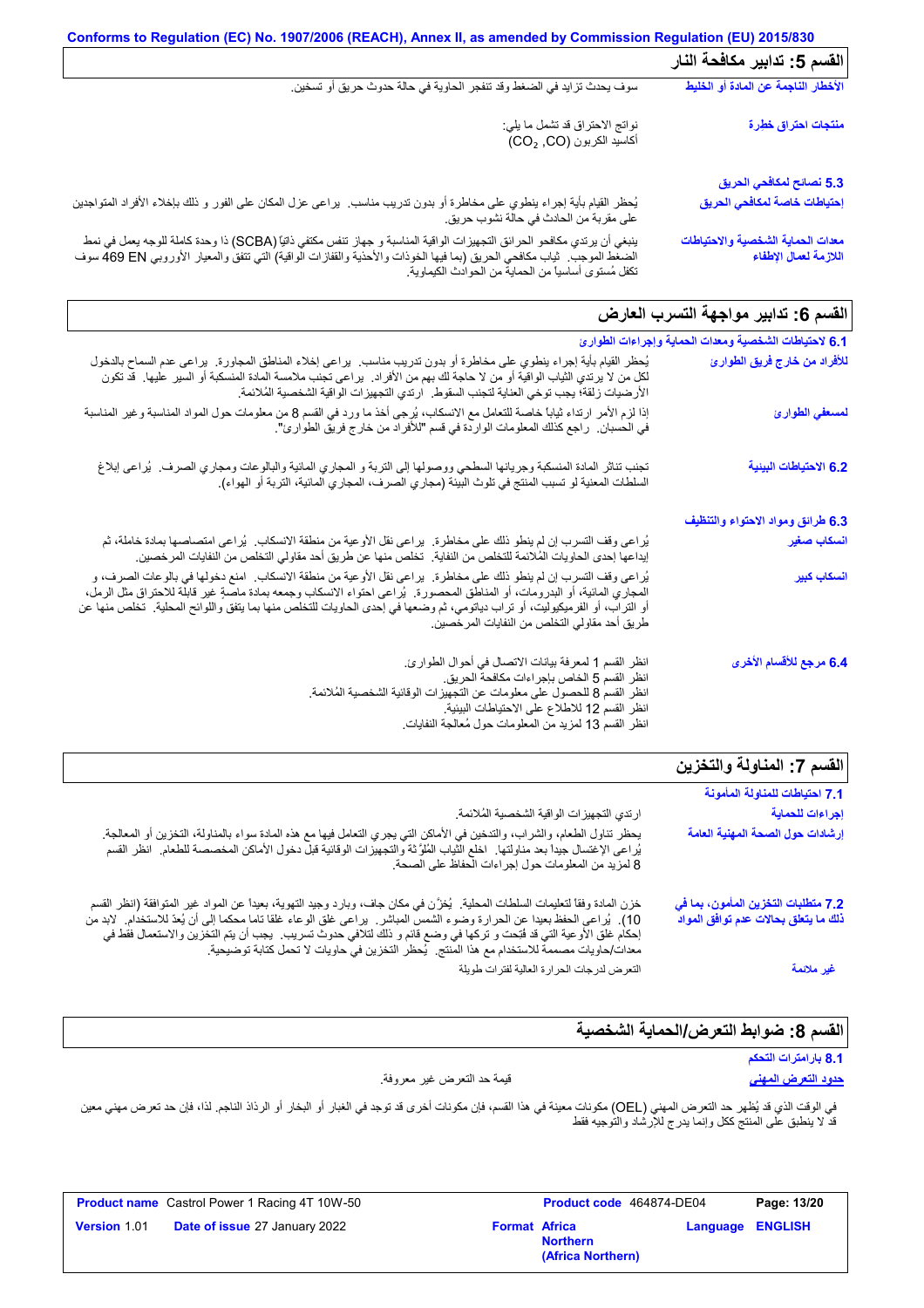|                                                            | Conforms to Regulation (EC) No. 1907/2006 (REACH), Annex II, as amended by Commission Regulation (EU) 2015/830                                                                                                                                                                           |
|------------------------------------------------------------|------------------------------------------------------------------------------------------------------------------------------------------------------------------------------------------------------------------------------------------------------------------------------------------|
| القسم 5: تدابير مكافحة النار                               |                                                                                                                                                                                                                                                                                          |
| الأخطار الناجمة عن المادة أو الخليط                        | سوف يحدث تزايد في الضغط وقد تنفجر الحاوية في حالة حدوث حريق أو تسخين.                                                                                                                                                                                                                    |
| منتجات احتراق خطرة                                         | نوانج الاحتراق قد تشمل ما يلي:<br>أكاسيد الكربون (CO <sub>2 ,</sub> CO)                                                                                                                                                                                                                  |
| 5.3 نصائح لمكافحي الحريق                                   |                                                                                                                                                                                                                                                                                          |
| إحتياطات خاصة لمكافحي الحريق                               | يُحظر القيام بأية إجراء ينطوي على مخاطرة أو بدون تدريب مناسب.  يراعي عزل المكان على الفور و ذلك بإخلاء الأفراد المتواجدين<br>على مقربة من الحادث في حالة نشوب حريق.                                                                                                                      |
| معدات الحماية الشخصية والاحتياطات<br>اللازمة لعمال الإطفاء | ينبغي أن يرتدي مكافحو الحرائق التجهيزات الواقية المناسبة و جهاز تنفس مكتفي ذاتيًا (SCBA) ذا وحدة كاملة للوجه يعمل في نمط<br>الضغط الموجب   ثياب مكافحي الحريق (بما فيها الخوذات والأحذية والقفازات الواقية) التي تتفق والمعيار ا<br>تكفل مُستوى أساسياً من الحماية من الحوادث الكيماوية. |

# القسم **6:** تدابیر مواجهة التسرب العارض

| 6.1 لاحتياطات الشخصية ومعدات الحماية وإجراءات الطوارئ |                                                                                                                                                                                                                                                                                                                                                                                                                                    |
|-------------------------------------------------------|------------------------------------------------------------------------------------------------------------------------------------------------------------------------------------------------------------------------------------------------------------------------------------------------------------------------------------------------------------------------------------------------------------------------------------|
| للأفراد من خارج فريق الطوارئ                          | يُحظر القيام بأية إجراء ينطوي على مخاطرة أو بدون تدريب مناسب.  يراعى إخلاء المناطق المجاورة.  يراعى عدم السماح بالدخول<br>لكل من لا برندي الثياب الواقية أو من لا حاجة لك بهم من الأفراد.  براعي تجنب ملامسة المادة المنسكبة أو السير  عليها.  قد تكون<br>الأرضيات زلقة؛ يجب توخي العناية لتجنب السقوط.   ارتدي التجهيز ات الواقية الشخصية المُلائمة.                                                                              |
| لمسعفي الطوارئ                                        | إذا لزم الأمر ارتداء ثياباً خاصة للتعامل مع الانسكاب، يُرجى أخذ ما ورد في القسم 8 من معلومات حول المواد المناسبة وغير المناسبة<br>في الحسبان.   راجع كذلك المعلومات الواردة في قسم "للأفراد من خارج فريق الطوارئ".                                                                                                                                                                                                                 |
| 6.2 الاحتياطات البينية                                | تجنب تناثر المادة المنسكبة وجريانها السطحي ووصولها إلى التربة و المجاري المانية والبالوعات ومجاري الصرف.  يُراعى إبلاغ<br>السلطات المعنية لو تسبب المنتج في تلوث البيئة (مجاري الصرف، المجاري المائية، التربة أو الهواء).                                                                                                                                                                                                          |
| 6.3 طرائق ومواد الاحتواء والتنظيف                     |                                                                                                                                                                                                                                                                                                                                                                                                                                    |
| انسكاب صغير                                           | يُراعى وقف التسرب إن لم ينطو ذلك على مخاطرة.  يراعى نقل الأوعية من منطقة الانسكاب.  يُراعى امتصاصها بمادة خاملة، ثم<br>إيداعها إحدى الحاويات المُلائمة للتخلص من النفاية.  تخلص منها عن طريق أحد مقاولي التخلص من النفايات المرخصين.                                                                                                                                                                                               |
| أنسكاب كبير                                           | يُراعي وقف التسرب إن لم ينطو ذلك على مخاطرة.  يراعي نقل الأوعية من منطقة الانسكاب.  امنع دخولها في بالوعات الصرف، و<br>المعباري المائية، أو البدرومات، أو المناطق المعصورة.  يُراعي احتواء الانسكاب وجمعه بمادة ماصةٍ غير قابلة للاحتراق مثل الرمل،<br>أو التراب، أو الفرميكيوليت، أو تراب دياتومي، ثم وضعها في إحدى الحاويات للتخلص منها بما يتفق واللوائح المحلية.  تخلص منها عن<br>طريق أحد مقاولي التخلص من النفايات المرخصين. |
| 6.4 مرجع للأقسام الأخرى                               | انظر القسم 1 لمعرفة بيانات الاتصال في أحوال الطوارئ.<br>انظر القسم 5 الخاص بإجراءات مكافحة الحريق.<br>انظر القسم 8 للحصول على معلومات عن التجهيزات الوقائية الشخصية المُلائمة.<br>انظر القسم 12 للاطلاع على الاحتياطات البيئية.<br>انظر القسم 13 لمزيد من المعلومات حول مُعالجة النفايات                                                                                                                                           |
| isti I<br>テン・オントレーズ トライン ハーニー                         |                                                                                                                                                                                                                                                                                                                                                                                                                                    |

|                                                                                                                                                                                                                                                                                                                                                                                                                                                                                    | الفسم 7: المناولة والتخزين                                                  |
|------------------------------------------------------------------------------------------------------------------------------------------------------------------------------------------------------------------------------------------------------------------------------------------------------------------------------------------------------------------------------------------------------------------------------------------------------------------------------------|-----------------------------------------------------------------------------|
|                                                                                                                                                                                                                                                                                                                                                                                                                                                                                    | 7.1 احتياطات للمناولة المأمونة                                              |
| ارتدي التجهيز ات الواقية الشخصية المُلائمة.                                                                                                                                                                                                                                                                                                                                                                                                                                        | إجراءات للحماية                                                             |
| يحظر تناول الطعام، والشراب، والتدخين في الأماكن التي يجري التعامل فيها مع هذه المادة سواء بالمناولة، التخزين أو المعالجة <sub>.</sub><br>يُراعى الإغتسال جيداً بعد مناولتها ِ اخلع الثياب المُلوَّثة والتجهيزات الوقائية قبلٌّ دخول الأماكن المخصصة للطعام ِ انظر القسم<br>8 لمزيد من المعلومات حول إجراءات الحفاظ على الصحة.                                                                                                                                                      | إرشادات حول الصحة المهنية العامة                                            |
| خزن المادة وفقاً لتعليمات السلطات المحلية.  يُخزِّن في مكان جاف، وبارد وجيد التهوية، بعيداً عن المواد غير المتوافقة (انظر القسم<br>10). يُراعى الحفظ بعيدا عن الحرارة وضوء الشمس المباشر.  يراعى غلق الوعاء غلقا ناما محكما إلى أن يُعدّ للاستخدام.  لابد من<br>إحكام غلق الأوعية التي قد فُتِحت و تركها في وضع قائم و ذلك لتلافي حدوث تسريب.  يجب أن يتم التخزين والاستعمال فقط في<br>معدات/حاويات مصممة للاستخدام مع هذا المنتج.  يُحظر التخزين في حاويات لا تحمل كتابة توصيحية. | 7.2 متطلبات التخزين المأمون، بما في<br>ذلك ما يتعلق بحالات عدم توافق المواد |
| التعرض لدرجات الحرارة العالية لفترات طويلة                                                                                                                                                                                                                                                                                                                                                                                                                                         | غير ملائمة                                                                  |

# القسم 8: ضوابط التعرض/الحماية الشخصية

# **8.1 بارامترات التحكم**

**حدود التعرض المھني** قیمة حد التعرض غیر معروفة.

في الوقت الذي قد يُظهر حد التعرض المهني (OEL) مكونات معينة في هذا القسم، فإن مكونات أخرى قد توجد في الغبار أو الرذاذ الفجم. لذا، فإن حد تعرض مهني معين قد لا ینطبق على المنتج ككل وإنما یدرج للإرشاد والتوجیھ فقط

|                     | <b>Product name</b> Castrol Power 1 Racing 4T 10W-50 |                      | Product code 464874-DE04             |                         | Page: 13/20 |
|---------------------|------------------------------------------------------|----------------------|--------------------------------------|-------------------------|-------------|
| <b>Version 1.01</b> | <b>Date of issue 27 January 2022</b>                 | <b>Format Africa</b> | <b>Northern</b><br>(Africa Northern) | <b>Language ENGLISH</b> |             |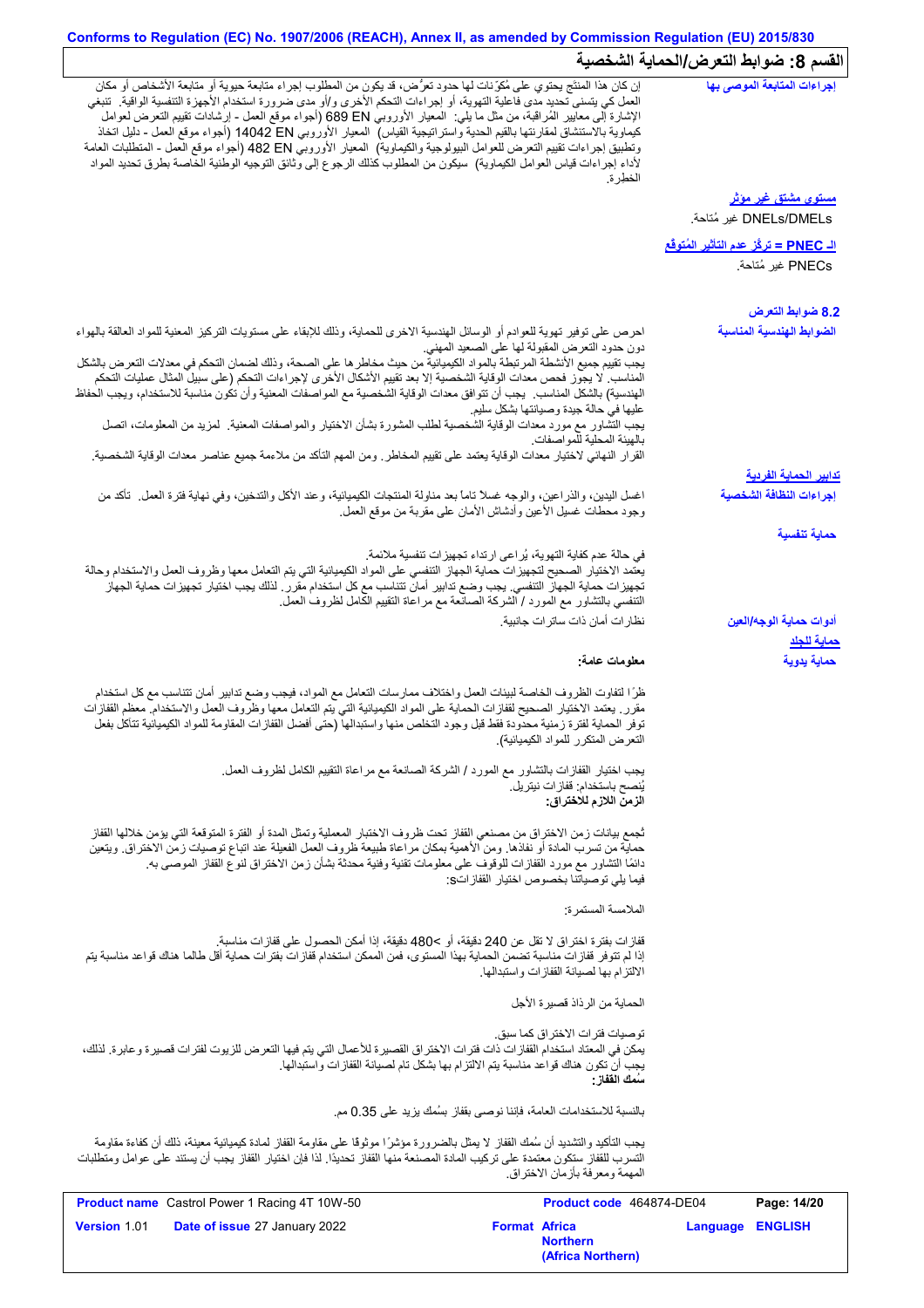# **Conforms to Regulation (EC) No. 1907/2006 (REACH), Annex II, as amended by Commission Regulation (EU) 2015/830** القسم 8: ضوابط التعرض/الحماية الشخصية

|                                                                                                                                                                                                                                                                                                                                                                                                                                                                                                         | <b>Format Africa</b>                                                                                                                                 | Language ENGLISH                                      |                                                       |
|---------------------------------------------------------------------------------------------------------------------------------------------------------------------------------------------------------------------------------------------------------------------------------------------------------------------------------------------------------------------------------------------------------------------------------------------------------------------------------------------------------|------------------------------------------------------------------------------------------------------------------------------------------------------|-------------------------------------------------------|-------------------------------------------------------|
| Product name Castrol Power 1 Racing 4T 10W-50                                                                                                                                                                                                                                                                                                                                                                                                                                                           | Product code 464874-DE04                                                                                                                             |                                                       | Page: 14/20                                           |
| يجب التأكيد والتشديد أن سُمك القفاز لا يمثل بالضرورة مؤشرًا موثوقًا على مقاومة القفاز لمادة كيميائية معينة، ذلك أن كفاءة مقاومة<br>التسرب للقفاز ستكون معتمدة على تركيب المادة المصنعة منها القفاز تحديدًا. لذا فإن اختيار القفاز يجب أن يستند على عوامل ومتطلبات                                                                                                                                                                                                                                       | المهمة ومعر فة بأز مان الاختر اق                                                                                                                     |                                                       |                                                       |
|                                                                                                                                                                                                                                                                                                                                                                                                                                                                                                         | بالنسبة للاستخدامات العامة، فإننا نوصي بقفاز بسُمك يزيد على 0.35 مم.                                                                                 |                                                       |                                                       |
| يمكن في المعتاد استخدام القفازات ذات فترات الاختراق القصيرة للأعمال التي يتم فيها التعرض للزيوت لفترات قصيرة وعابرة. لذلك،                                                                                                                                                                                                                                                                                                                                                                              | تو صيات فتر ات الاختر اق كما سبق.<br>يجب أن تكون هناك قواعد مناسبة يتم الالتزام بها بشكل تام لصيانة القفازات واستبدالها<br>سُمك الففاز :             |                                                       |                                                       |
|                                                                                                                                                                                                                                                                                                                                                                                                                                                                                                         | الحماية من الرذاذ قصيرة الأجل                                                                                                                        |                                                       |                                                       |
| قفازات بفترة اختراق لا تقل عن 240 دقيقة، أو >480 دقيقة، إذا أمكن الحصول على قفازات مناسبة.<br>إذا لم تتوفر قفازات مناسبة تضمن الحماية بهذا المستوى، فمن الممكن استخدام قفازات بفترات حماية أقل طالما هناك قواعد مناسبة يتم                                                                                                                                                                                                                                                                              | الالتزام بها لصيانة القفازات واستبدالها                                                                                                              |                                                       |                                                       |
|                                                                                                                                                                                                                                                                                                                                                                                                                                                                                                         | الملامسة المستمرة:                                                                                                                                   |                                                       |                                                       |
| ثجمع بيانات زمن الاختراق من مصنعي القفاز تحت ظروف الاختبار المعملية وتمثل المدة أو الفترة المتوقعة التي يؤمن خلالها القفاز<br>حماية من تسرب المادة أو نفاذها. ومن الأهمية بمكان مراعاة طبيعة ظروف العمل الفعيلة عند اتباع توصيات زمن الاختراق. ويتعين<br>دائمًا التشاور مع مورد القفازات للوقوف على معلومات تقنية وفنية محدثة بشأن زمن الاختراق لنوع القفاز الموصىي به                                                                                                                                  | فيما يلي توصياتنا بخصوص اختيار القفازاتs:                                                                                                            |                                                       |                                                       |
|                                                                                                                                                                                                                                                                                                                                                                                                                                                                                                         | يُنصح باستخدام: قفاز ات نيتريل.<br>الزمن اللازم للاختراق:                                                                                            |                                                       |                                                       |
| ظرًا لتفاوت الظروف الخاصة لبيئات العمل واختلاف ممارسات التعامل مع المواد، فيجب وضع تدابير أمان تتناسب مع كل استخدام<br>مقرر ٍ يعتمد الاختيار الصحيح لقفازات الحماية على المواد الكيميائية التي يتم التعامل معها وظروف العمل والاستخدام ِ معظم القفازات<br>توفر الحماية لفترة زمنية محدودة فقط قبل وجود التخلص منها واستبدالها (حتى أفضل القفازات المقاومة للمواد الكيميائية تتأكل بفعل<br>يجب اختيار القفازات بالتشاور مع المورد / الشركة الصانعة مع مراعاة التقييم الكامل لظروف العمل.                 | التعرض المتكرر للمواد الكيميائية).                                                                                                                   |                                                       |                                                       |
|                                                                                                                                                                                                                                                                                                                                                                                                                                                                                                         | معلومات عامة:                                                                                                                                        |                                                       | حماية يدوية                                           |
|                                                                                                                                                                                                                                                                                                                                                                                                                                                                                                         | نظار ات أمان ذات ساتر ات جانبية.                                                                                                                     |                                                       | أدوات حماية الوجه/العين<br><u>حماية للجلا</u>         |
| يعتمد الاختيار الصحيح لتجهيزات حماية الجهاز التنفسي على المواد الكيميائية التي يتم التعامل معها وظروف العمل والاستخدام وحالة<br>تجهيز ات حماية الجهاز التنفسي. يجب وضع تدابير أمان تتناسب مع كل استخدام مقرر . لذلك يجب اختيار تجهيز ات حماية الجهاز                                                                                                                                                                                                                                                    | في حالة عدم كفاية التهوية، يُراعى ارتداء تجهيزات تنفسية ملائمة.<br>التنفسي بالنشاور مع المورد / الشركة الصانعة مع مراعاة النقييم الكامل لظروف العمل. |                                                       | حماية تنفسية                                          |
| اغسل اليدين، والذراعين، والوجه غسلاً تاماً بعد مناولة المنتجات الكيميائية، وعند الأكل والتدخين، وفي نهاية فترة العمل ـ تأكد من                                                                                                                                                                                                                                                                                                                                                                          | وجود محطات غسلي الأعين وأدشاش الأمان على مقربة من موقع العمل                                                                                         |                                                       | إجراءات النظافة الشخصية                               |
|                                                                                                                                                                                                                                                                                                                                                                                                                                                                                                         |                                                                                                                                                      |                                                       | <u>تدابير الحماية الفردية</u>                         |
| القرار النهائي لاختيار معدات الوقاية يعتمد على تقييم المخاطر ـ ومن المهم التأكد من ملاءمة جميع عناصر معدات الوقاية الشخصية.                                                                                                                                                                                                                                                                                                                                                                             | بالهيئة المحلية للمواصفات                                                                                                                            |                                                       |                                                       |
| الهندسية) بالشكل المناسب يجب أن تتوافق معدات الوقاية الشخصية مع المواصفات المعنية وأن تكون مناسبة للاستخدام، ويجب الحفاظ<br>يجب التَّشاور مع مورد معدات الوقاية الشَّخصية لطلب المشورة بشأن الاختيار والمواصفات المعنية. كمزيد من المعلومات، اتصل                                                                                                                                                                                                                                                       | عليها في حالة جيدة وصيانتها بشكل سليم.                                                                                                               |                                                       |                                                       |
| يجب تقييم جميع الأنشطة المرتبطة بالمواد الكيميائية من حيث مخاطر ها على الصحة، وذلك لضمان التحكم في معدلات التعرض بالشكل<br>المناسب. لا يجوز فحص معدات الوقاية الشخصية إلا بعد تقييم الأشكال الأخرى لإجراءات التحكم (على سبيل المثال عمليات التحكم                                                                                                                                                                                                                                                       | دون حدود النعرض المقبولة لـها علـى الصـعيد المـهنـي                                                                                                  |                                                       |                                                       |
| احرص على توفير تهوية للعوادم أو الوسائل الهندسية الاخرى للحماية، وذلك للإبقاء على مستويات التزكيز المعنية للمواد العالقة بالهواء                                                                                                                                                                                                                                                                                                                                                                        |                                                                                                                                                      |                                                       | 8.2 ضوابط التعرض<br>الضوابط الهندسية المناسبة         |
|                                                                                                                                                                                                                                                                                                                                                                                                                                                                                                         |                                                                                                                                                      |                                                       | PNECs غير مُتاحة.                                     |
|                                                                                                                                                                                                                                                                                                                                                                                                                                                                                                         |                                                                                                                                                      | ا <mark>لـ PNEC = تركُز عدم التأثير المُتوفَّع</mark> |                                                       |
|                                                                                                                                                                                                                                                                                                                                                                                                                                                                                                         |                                                                                                                                                      |                                                       | <u>مستوى مشتق غير مؤثر</u><br>DNELs/DMELs غير مُتاحة. |
| الإشارة إلى معايير المُراقبة، من مثل ما يلي:  المعيار الأوروبي 680 689 (أجواء موقع العمل - إرشادات نقييع النعرض لعوامل<br>كيماوية بالاستنشاق لمقارنتها بالقيم الحدية واستراتيجية القياس)  المعيار الأوروبي 14042 EN (أجواء موقع العمل - دليل اتخاذ<br>وتطبيق إجراءات تقييم التعرض للعوامل البيولوجية والكيماوية)  المعيار الأوروبي 48 B2 (أجواء موقع العمل - المتطلبات العامة<br>لأداء إجراءات قياس العوامل الكيماوية)  سيكون من المطلوب كذلك الرجوع إلى وثانق التوجيه الوطنية الخاصة بطرق تحديد المواد | العمل كي يتسنى تحديد مدى فاعلية التهوية، أو إجراءات التحكم الأخرى و/أو مدى ضرورة استخدام الأجهزة التنفسية الواقية.  تنبغي<br>الخطر ة                 |                                                       |                                                       |
|                                                                                                                                                                                                                                                                                                                                                                                                                                                                                                         |                                                                                                                                                      |                                                       |                                                       |

**Northern**

**(Africa Northern)**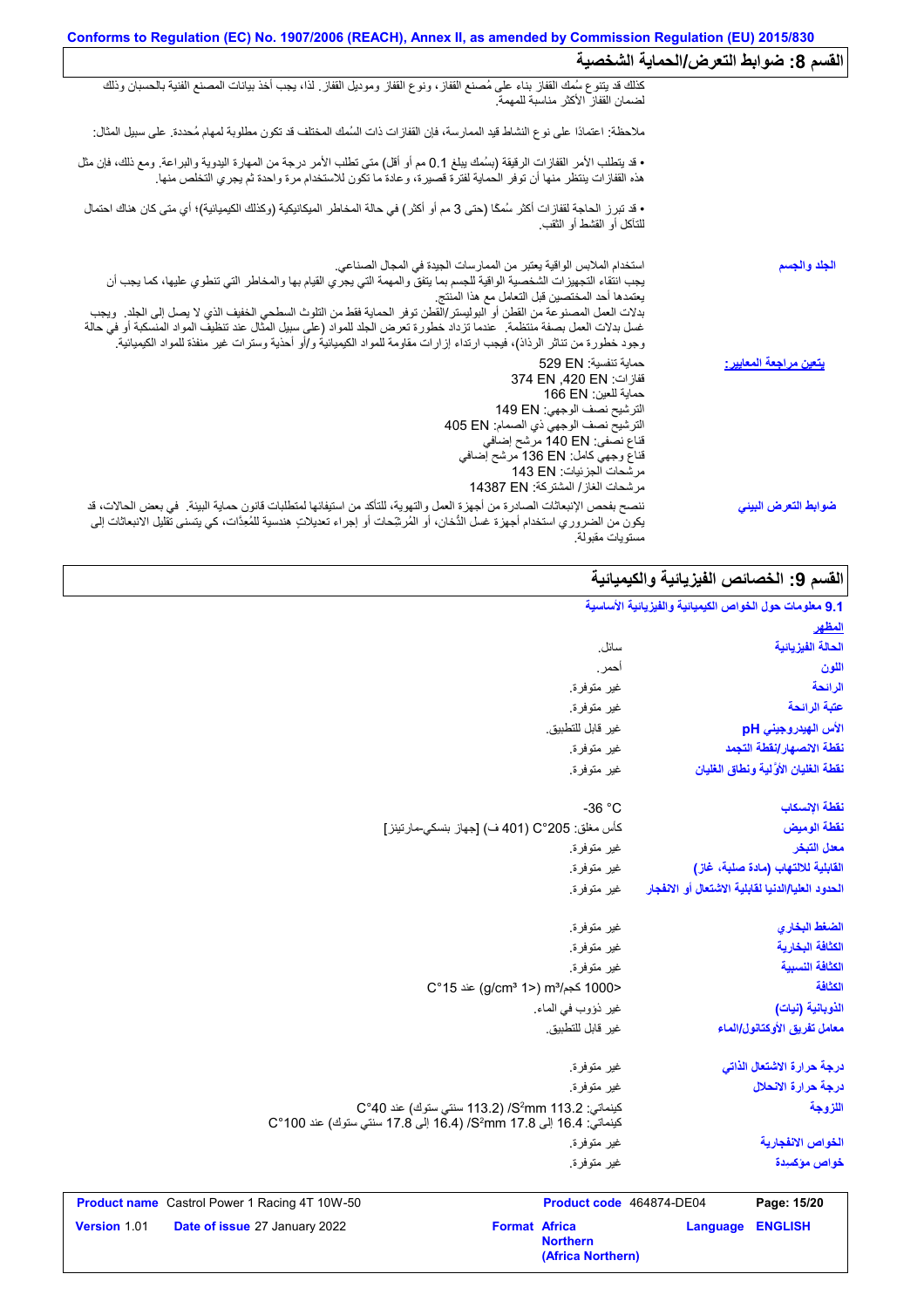| القسم 8: ضوابط التعرض/الحماية الشخصية |                                                                                                                                                                                                                                                                                                                                                                                                                                                                                                                                                                                                                                              |
|---------------------------------------|----------------------------------------------------------------------------------------------------------------------------------------------------------------------------------------------------------------------------------------------------------------------------------------------------------------------------------------------------------------------------------------------------------------------------------------------------------------------------------------------------------------------------------------------------------------------------------------------------------------------------------------------|
|                                       | كذلك قد يتنوع سُمك القفاز بناء على مُصنع القفاز، ونوع القفاز وموديل القفاز ٍ لذا، يجب أخذ بيانات المصنع الفنية بالحسبان وذلك<br>لضمان القفاز الأكثر مناسبة للمهمة                                                                                                                                                                                                                                                                                                                                                                                                                                                                            |
|                                       | ملاحظة: اعتمادًا على نوع النشاط قيد الممارسة، فإن القفازات ذات السُمك المختلف قد تكون مطلوبة لمهام مُحددة. على سبيل المثال:                                                                                                                                                                                                                                                                                                                                                                                                                                                                                                                  |
|                                       | • قد يتطلب الأمر القفازات الرقيقة (بسُمك يبلغ 0.1 مم أو أقل) متى تطلب الأمر درجة من المهارة اليدوية والبراعة. ومع ذلك، فإن مثل<br>هذه القفازات ينتظر منها أن توفر الحماية لفترة قصيرة، وعادة ما تكون للاستخدام مرة واحدة ثم يجري                                                                                                                                                                                                                                                                                                                                                                                                             |
|                                       | • قد تبرز الحاجة لقفازات أكثر سُمكًا (حتى 3 مم أو أكثر ) في حالة المخاطر الميكانيكية (وكذلك الكيميائية)؛ أي متى كان هناك احتمال<br>للتأكل أو القشط أو الثقب.                                                                                                                                                                                                                                                                                                                                                                                                                                                                                 |
| الجلد والجسم                          | استخدام الملابس الواقية يعتبر من الممارسات الجيدة في المجال الصناعي.<br>يجب انتقاء التجهيزات الشخصية الواقية للجسم بما يتفق والمهمة التي يجري القيام بها والمخاطر التي تنطوي عليها، كما يجب أن<br>يعتمدها أحد المختصين قبل التعامل مع هذا المنتج<br>بدلات العمل المصنوعة من القطن أو البوليستر/القطن توفر الحماية فقط من التلوث السطحي الخفيف الذي لا يصل إلى الجلد ٍ ويجب<br>غسل بدلات العمل بصفة منتظمة ٍ عندما تزداد خطورة تعرض الجلد للمواد (على سبيل المثال عند تنظيف المواد المنسكبة أو في حالة<br>وجود خطورة من تناثر الرذاذ)، فيجب ارتداء إزارات مقاومة للمواد الكيميائية و/أو أحذية وسترات غير منفذة للمواد الكيميائية <sub>.</sub> |
| <u>يتعين مراجعة المعايير :</u>        | حماية تنفسية: 529 EN<br>قفاز ات: 374 EN .420 EN<br>حماية للعين: 166 EN<br>الترشيح نصف الوجهي: 149 EN<br>الترشيح نصف الوجهي ذي الصمام: 405 EN<br>قناع نصفي: 140 EN مرشح إضافي<br>قناع وجهي كامل: 136 EN مرشح إضافي<br>مر شحات الجز ئيات: 143 EN<br>مرشحات الغاز / المشتركة: 14387 EN                                                                                                                                                                                                                                                                                                                                                          |
| ضوابط التعرض البيني                   | ننصح بفحص الإنبعاثات الصادرة من أجهزة العمل والتهوية، للتأكد من استيفائها لمتطلبات قانون حماية البيئة في بعض الحالات، قد<br>يكون من الضروري استخدام أجهزة غسل الدُّخان، أو المُرشِّحات أو إجراء تعديلاتٍ هندسية للمُعِدَّات، كي يتسنى تقليل الانبعاثات إلى<br>مستويات مقبولة.                                                                                                                                                                                                                                                                                                                                                                |

# ا<mark>لقسم 9: الخصائص الفیزیائیة والكیمیائیة</mark>

| 9.1 معلومات حول الخواص الكيميانية والفيزيانية الأساسية |                          |                                                                                                                                        |                                               |              |
|--------------------------------------------------------|--------------------------|----------------------------------------------------------------------------------------------------------------------------------------|-----------------------------------------------|--------------|
| للمظهر                                                 |                          |                                                                                                                                        |                                               |              |
| الحالة الفيزيانية                                      | سائل.                    |                                                                                                                                        |                                               |              |
| اللون                                                  | أحمر.                    |                                                                                                                                        |                                               |              |
| الرائحة                                                | غير متوفرة.              |                                                                                                                                        |                                               |              |
| عتبة الرائحة                                           | غير متوفرة.              |                                                                                                                                        |                                               |              |
| الأس الهيدروجيني pH                                    | غير قابل للتطبيق.        |                                                                                                                                        |                                               |              |
| نقطة الانصهار إنقطة التجمد                             | غير متوفرة.              |                                                                                                                                        |                                               |              |
| نفطة الغلبان الأولية ونطاق الغلبان                     | غير متوفرة.              |                                                                                                                                        |                                               |              |
| نقطة الإنسكاب                                          | $-36 °C$                 |                                                                                                                                        |                                               |              |
| نقطة الوميض                                            |                          | كأس مغلق: 205°C (401 ف) [جهاز بنسكي-مارتينز]                                                                                           |                                               |              |
| معدل التبخر                                            | غير متوفرة.              |                                                                                                                                        |                                               |              |
| القابلية للالتهاب (مادة صلبة، غاز)                     | غير متوفرة.              |                                                                                                                                        |                                               |              |
| الحدود العليا/الدنيا لقابلية الاشتعال أو الانفجار      | غير متوفرة.              |                                                                                                                                        |                                               |              |
| الضغط البخاري                                          | غير متوفرة.              |                                                                                                                                        |                                               |              |
| الكثافة البخارية                                       | غير متوفرة.              |                                                                                                                                        |                                               |              |
| الكثافة النسبية                                        | غير متوفرة.              |                                                                                                                                        |                                               |              |
| الكثافة                                                |                          | <1000 كجم/m3 (2°15) aic (g/cm3 1                                                                                                       |                                               |              |
| الذوبانية (نيات)                                       | غير ذؤوب في الماء.       |                                                                                                                                        |                                               |              |
| معامل تفريق الأوكتانول/الماء                           | غير قابل للتطبيق.        |                                                                                                                                        |                                               |              |
| درجة حرارة الاشتعال الذاتى                             | غير متوفرة.              |                                                                                                                                        |                                               |              |
| درجة حرارة الانحلال                                    | غير متوفرة.              |                                                                                                                                        |                                               |              |
| اللزوجة                                                |                          | كينماتي: S <sup>2</sup> mm 113.2/ (113.2 سنتي ستوك) عند C°40<br>كينماتي: 16.4 إلى 7.8 S2mm 17.8 إلى 16.8 إلى 17.8 سنتي ستوك) عند 100°C |                                               |              |
| الخواص الانفجارية                                      | غير متوفرة.              |                                                                                                                                        |                                               |              |
| خواص مؤكسيدة                                           | غير متوفرة.              |                                                                                                                                        |                                               |              |
| Page: 15/20                                            | Product code 464874-DE04 |                                                                                                                                        | Product name Castrol Power 1 Racing 4T 10W-50 |              |
| <b>ENGLISH</b><br><b>Language</b>                      | <b>Northern</b>          | <b>Format Africa</b>                                                                                                                   | Date of issue 27 January 2022                 | Version 1.01 |

**(Africa Northern)**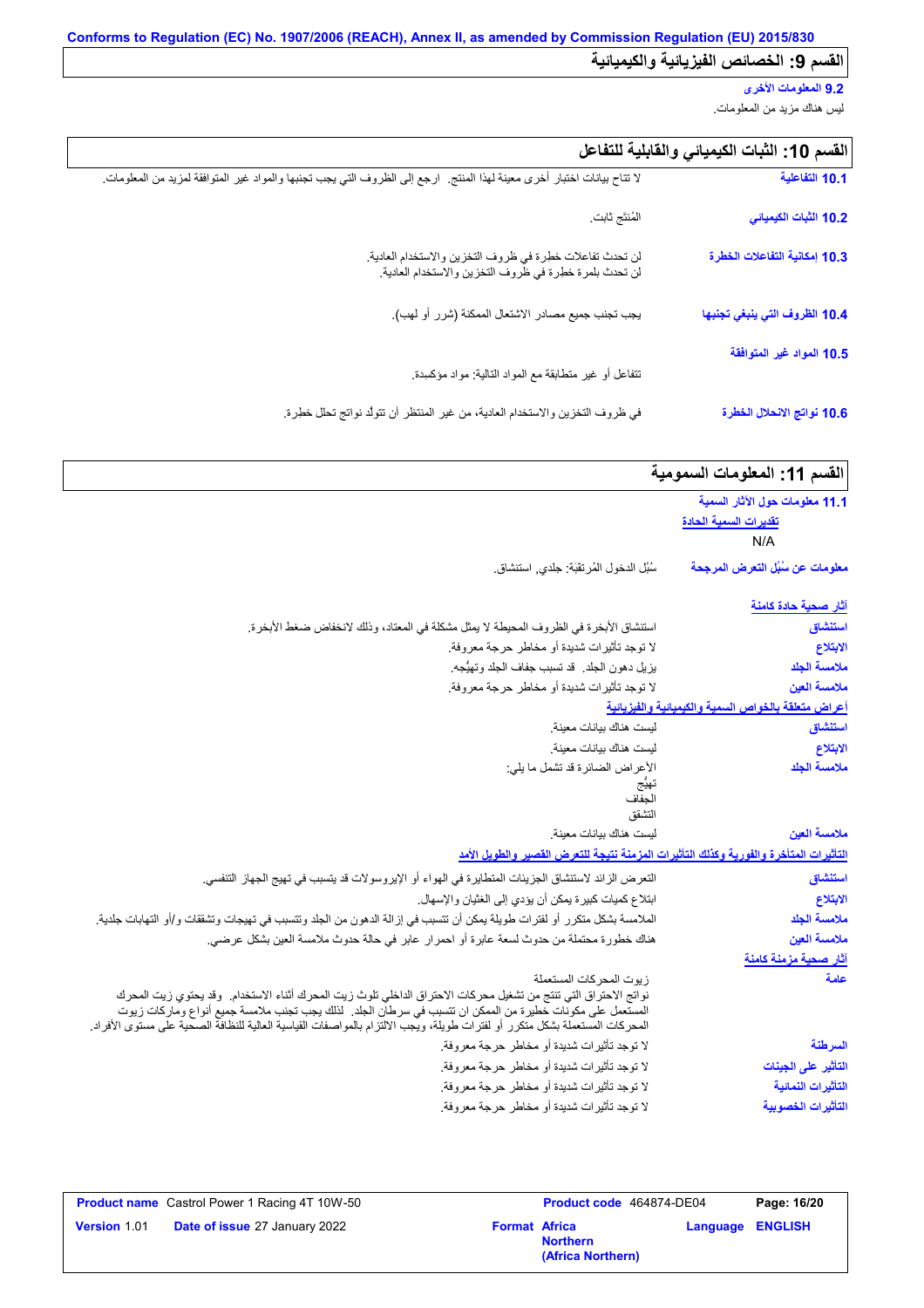# **9.2 المعلومات الأخرى**

لیس ھناك مزید من المعلومات.

| القسم 10: الثبات الكيميائي والقابلية للتفاعل |  |  |  |
|----------------------------------------------|--|--|--|
|----------------------------------------------|--|--|--|

| 10.1 التفاعلية                | لا تتاح بيانات اختبار أخرى معينة لهذا المنتج.  ارجع إلى الظروف التي يجب تجنبها والمواد غير المتوافقة لمزيد من المعلومات ِ |
|-------------------------------|---------------------------------------------------------------------------------------------------------------------------|
| 10.2 الثبات الكيميائي         | المُنتَج ثابت                                                                                                             |
| 10.3 إمكانية التفاعلات الخطرة | لن تحدث تفاعلات خطرة في ظروف التخزين والاستخدام العادية.<br>لن تحدث بلمرة خطرة في ظروف التخزين والاستخدام العادية.        |
| 10.4 الظروف التي ينبغي تجنبها | يجب تجنب جميع مصادر الاشتعال الممكنة (شرر أو لهب).                                                                        |
| 10.5 المواد غير المتوافقة     | نتفاعل أو غير متطابقة مع المواد التالية: مواد مؤكسدة.                                                                     |
| 10.6 نواتج الانحلال الخطرة    | في ظروف التخزين والاستخدام العادية، من غير المنتظر أن تتولُّد نواتج تحلَّل خطِرة.                                         |

|  | القسم 11: المعلومات السمومية |  |
|--|------------------------------|--|
|  |                              |  |

| 11.1 معلومات حول الآثار السمية                      |                                                                                                                                                                                                                                                                                                                                                                                        |
|-----------------------------------------------------|----------------------------------------------------------------------------------------------------------------------------------------------------------------------------------------------------------------------------------------------------------------------------------------------------------------------------------------------------------------------------------------|
| <u>تقديرات السمية الحادة</u>                        |                                                                                                                                                                                                                                                                                                                                                                                        |
| N/A                                                 |                                                                                                                                                                                                                                                                                                                                                                                        |
| معلومات عن سُبُل التعرض المرجحة                     | سُبُل الدخول المُرتقَبَة: جلدي, استنشاق.                                                                                                                                                                                                                                                                                                                                               |
| <u>آثار صحبة حادة كامنة</u>                         |                                                                                                                                                                                                                                                                                                                                                                                        |
| استنشاق                                             | استنشاق الأبخرة في الظروف المحيطة لا يمثل مشكلة في المعتاد، وذلك لانخفاض ضغط الأبخرة.                                                                                                                                                                                                                                                                                                  |
| الابتلاع                                            | لا توجد تأثيرات شديدة أو مخاطر حرجة معروفة.                                                                                                                                                                                                                                                                                                                                            |
| ملامسة الجلد                                        | يزيل دهون الجلد. قد تسبب جفاف الجلد وتهيُّجه.                                                                                                                                                                                                                                                                                                                                          |
| ملامسة العين                                        | لا توجد تأثيرات شديدة أو مخاطر حرجة معروفة.                                                                                                                                                                                                                                                                                                                                            |
| أعراض متعلقة بالخواص السمية والكيميائية والفيزيانية |                                                                                                                                                                                                                                                                                                                                                                                        |
| استنشاق                                             | ليست هناك بيانات معينة                                                                                                                                                                                                                                                                                                                                                                 |
| الابتلاع                                            | ليست هناك بيانات معينة.                                                                                                                                                                                                                                                                                                                                                                |
| ملامسة الجلد                                        | الأعراض الضائرة قد تشمل ما يلي:                                                                                                                                                                                                                                                                                                                                                        |
|                                                     | الجفاف                                                                                                                                                                                                                                                                                                                                                                                 |
|                                                     | التشقق                                                                                                                                                                                                                                                                                                                                                                                 |
| ملامسة العين                                        | ليست هناك بيانات معينة                                                                                                                                                                                                                                                                                                                                                                 |
|                                                     | التأثيرات المتأخرة والفورية وكذلك التأثيرات المزمنة نتبجة للتعرض القصير والطويل الأمد                                                                                                                                                                                                                                                                                                  |
| استنشاق                                             | التعرض الزائد لاستنشاق الجزيئات المتطايرة في الهواء أو الإيروسولات قد يتسبب في تهيج الجهاز التنفسى.                                                                                                                                                                                                                                                                                    |
| الابتلاع                                            | ابتلاع كميات كبيرة يمكن أن يؤدي إلى الغثيان والإسهال.                                                                                                                                                                                                                                                                                                                                  |
| ملامسة الجلد                                        | الملامسة بشكل متكرر أو لفترات طويلة يمكن أن تتسبب في إزالة الدهون من الجلد وتتسبب في تهيجات وتشققات و/أو التهابات جلدية.                                                                                                                                                                                                                                                               |
| ملامسة العين                                        | هناك خطورة محتملة من حدوث لسعة عابرة أو احمرار عابر في حالة حدوث ملامسة العين بشكل عرضي.                                                                                                                                                                                                                                                                                               |
| آثار صحية مزمنة كامنة                               |                                                                                                                                                                                                                                                                                                                                                                                        |
| علمة                                                | زيوت المحركات المستعملة<br>نواتج الاحتراق التي تنتج من تشغيل محركات الاحتراق الداخلي تلوث زيت المحرك أثناء الاستخدام. وقد يحتوي زيت المحرك<br>المستعمل على مكونات خطيرة من الممكن ان تتسبب في سرطان الجلد.  لذلك يجب تجنب ملامسة جميع أنواع وماركات زيوت<br>المحركات المستعملة بشكل متكرر أو لفترات طويلة، ويُجب الالتزام بالمواصفات القياسية العالية للنظافة الصحية على مستوى الأفراد |
|                                                     |                                                                                                                                                                                                                                                                                                                                                                                        |
| السرطنة                                             | لا توجد تأثيرات شديدة أو مخاطر حرجة معروفة.                                                                                                                                                                                                                                                                                                                                            |
| التأثير على الجينات                                 | لا توجد تأثيرات شديدة أو مخاطر حرجة معروفة.                                                                                                                                                                                                                                                                                                                                            |
| التأثيرات النمائية                                  | لا توجد تأثيرات شديدة أو مخاطر حرجة معروفة.                                                                                                                                                                                                                                                                                                                                            |

|                     | <b>Product name</b> Castrol Power 1 Racing 4T 10W-50 |                      | <b>Product code</b> 464874-DE04      |                  | Page: 16/20 |
|---------------------|------------------------------------------------------|----------------------|--------------------------------------|------------------|-------------|
| <b>Version 1.01</b> | <b>Date of issue 27 January 2022</b>                 | <b>Format Africa</b> | <b>Northern</b><br>(Africa Northern) | Language ENGLISH |             |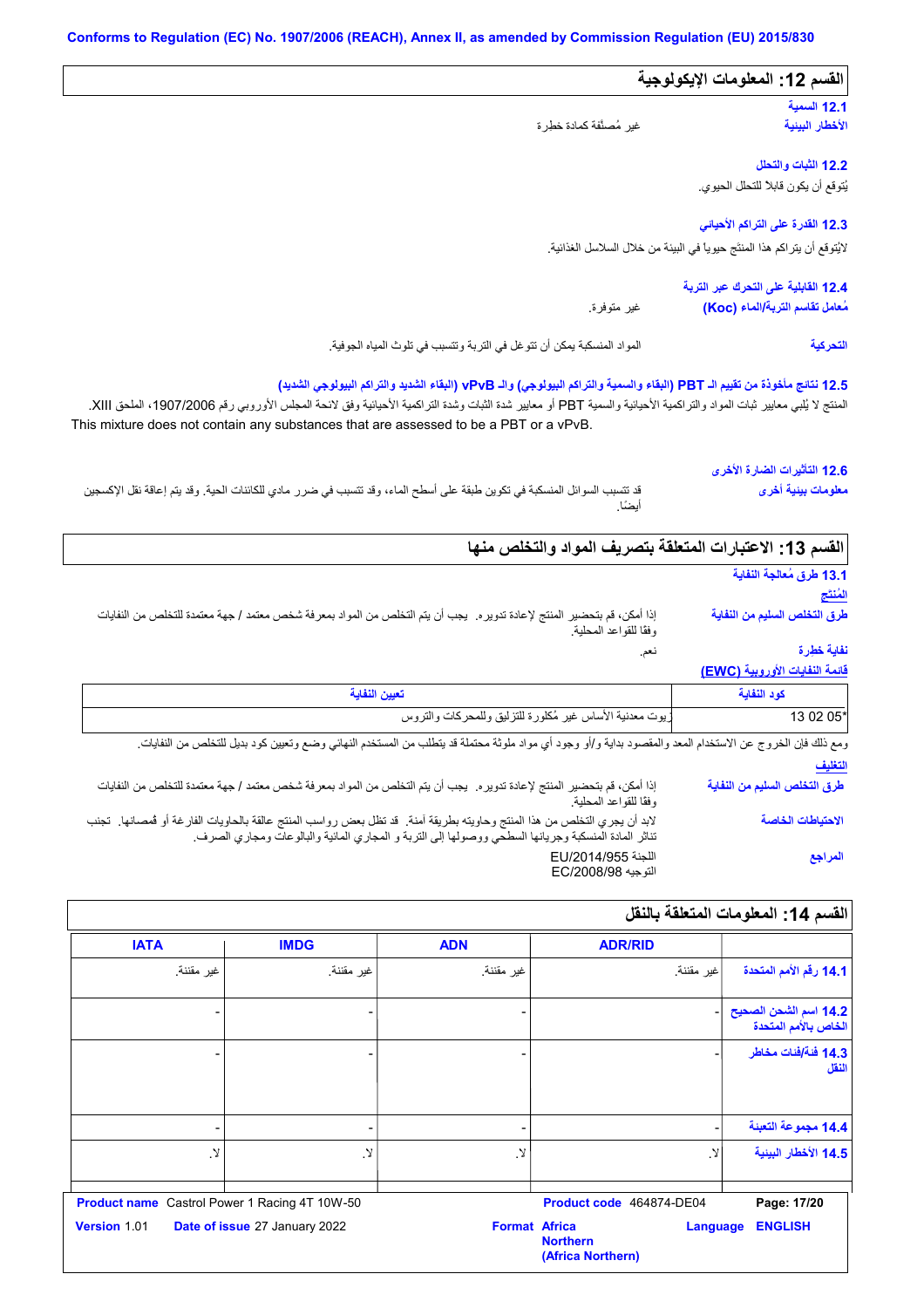| القسم 12: المعلومات الإيكولوجية                                            |                                                                                                                                                                                                                                                                                                                                                                      |
|----------------------------------------------------------------------------|----------------------------------------------------------------------------------------------------------------------------------------------------------------------------------------------------------------------------------------------------------------------------------------------------------------------------------------------------------------------|
| 12.1 السعية<br>الأخطار البينية                                             | غير مُصنَّفة كمادة خطِر ة                                                                                                                                                                                                                                                                                                                                            |
|                                                                            |                                                                                                                                                                                                                                                                                                                                                                      |
| 12.2 الثبات والتحلل                                                        |                                                                                                                                                                                                                                                                                                                                                                      |
| يُتوقع أن يكون قابلاً للتحلل الحيوي.                                       |                                                                                                                                                                                                                                                                                                                                                                      |
| 12.3 الفدرة على التراكم الأحياني                                           |                                                                                                                                                                                                                                                                                                                                                                      |
| لايُتوقع أن يتر اكم هذا المنتَج حيوياً في البيئة من خلال السلاسل الغذائية. |                                                                                                                                                                                                                                                                                                                                                                      |
| 12.4 القابلية على التحرك عبر التربة                                        |                                                                                                                                                                                                                                                                                                                                                                      |
| مُعامل تقاسم التربة/الماء (Koc)                                            | غير متوفرة.                                                                                                                                                                                                                                                                                                                                                          |
|                                                                            |                                                                                                                                                                                                                                                                                                                                                                      |
| التحركية                                                                   | المواد المنسكبة يمكن أن نتوغل في التربة ونتسبب في تلوث المياه الجوفية.<br>12.5 نتائج مأخوذة من تقييم الـ PBT (البقاء والسمية والتراكم البيولوجي) والـ vPvB (البقاء الشديد والتراكم البيولوجي الشديد)<br>المنتج لا يُلبي معايير ثبات المواد والتراكمية الأحيانية والسمية PBT أو معايير شدة الثنراكمية الأحيانية وفق لانحة المجلس الأوروبي رقم 1907/2006، الملحق XIII. |
| 12.6 التأثيرات الضارة الأخرى<br>معلومات بينية أخرى                         | This mixture does not contain any substances that are assessed to be a PBT or a vPvB.<br>قد تتسبب السوائل المنسكبة في تكوين طبقة على أسطح الماء، وقد تتسبب في ضرر مادي للكائنات الحية. وقد يتم إعاقة نقل الإكسجين<br>أبضّاً.                                                                                                                                         |
|                                                                            | القسم 13: الاعتبارات المتعلقة بتصريف المواد والتخلص منها                                                                                                                                                                                                                                                                                                             |
| 13.1 طرق مُعالجة النفاية                                                   |                                                                                                                                                                                                                                                                                                                                                                      |
| المنتج                                                                     |                                                                                                                                                                                                                                                                                                                                                                      |
| طرق التخلص السليم من النفاية                                               | إذا أمكن، قم بتحضير المنتج لإعادة تدويره.  يجب أن يتم التخلص من المواد بمعرفة شخص معتمد / جهة معتمدة للتخلص من النفايات<br>وفقًا للقواعد المحلية.                                                                                                                                                                                                                    |
| نفاية خطرة                                                                 | نعم.                                                                                                                                                                                                                                                                                                                                                                 |
| فَانِمة النفايات الأوروبية (EWC)                                           |                                                                                                                                                                                                                                                                                                                                                                      |
| كود النفاية<br>13 02 05'                                                   | تعيين النفاية<br>يوت معدنية الأساس غير مُكلورة للتزليق وللمحركات والتروس                                                                                                                                                                                                                                                                                             |

| طرق التخلص السليم من النفاية | إذا أمكن، قم بتحضير المنتج لإعادة تدويره. يجب أن يتم التخلص من المواد بمعرفة شخص معتمد / جهة معتمدة للتخلص من النفايات<br>وفقًا للقواعد المحلية.                                                                               |
|------------------------------|--------------------------------------------------------------------------------------------------------------------------------------------------------------------------------------------------------------------------------|
| الاحتياطات الخاصة            | لابد أن يجري التخلص من هذا المنتج وحاويته بطريقة آمنة. قد تظل بعض رواسب المنتج عالقة بالحاويات الفارغة أو فمصانها. تجنب<br>تناثر المادة المنسكبة وجريانها السطحي ووصولها إلى التربة و المجاري المائية والبالوعات ومجاري الصرف. |
| المراجع                      | اللجنة EU/2014/955<br>التوجيه EC/2008/98                                                                                                                                                                                       |

|                                               | <b>ADR/RID</b>                                   | <b>ADN</b>               | <b>IMDG</b>                   | <b>IATA</b>                                          |
|-----------------------------------------------|--------------------------------------------------|--------------------------|-------------------------------|------------------------------------------------------|
| 14.1 رقم الأمم المتحدة                        | غير مقننة.                                       | غير مقننة.               | غير مقننة.                    | غير مقننة.                                           |
| 14.2 اسم الشحن الصحيح<br>الخاص بالأمم المتحدة |                                                  |                          |                               |                                                      |
| 14.3 فَنَة/فَنات مخاطر<br>النقل               |                                                  |                          |                               |                                                      |
| 14.4 مجموعة التعبنة                           |                                                  | $\overline{\phantom{a}}$ | ۰                             |                                                      |
| 14.5 الأخطار البينية                          | لا.                                              | .Y                       | .Y                            | لا.                                                  |
| Page: 17/20                                   | Product code 464874-DE04                         |                          |                               | <b>Product name</b> Castrol Power 1 Racing 4T 10W-50 |
| <b>ENGLISH</b>                                | Language<br><b>Northern</b><br>(Africa Northern) | <b>Format Africa</b>     | Date of issue 27 January 2022 | Version 1.01                                         |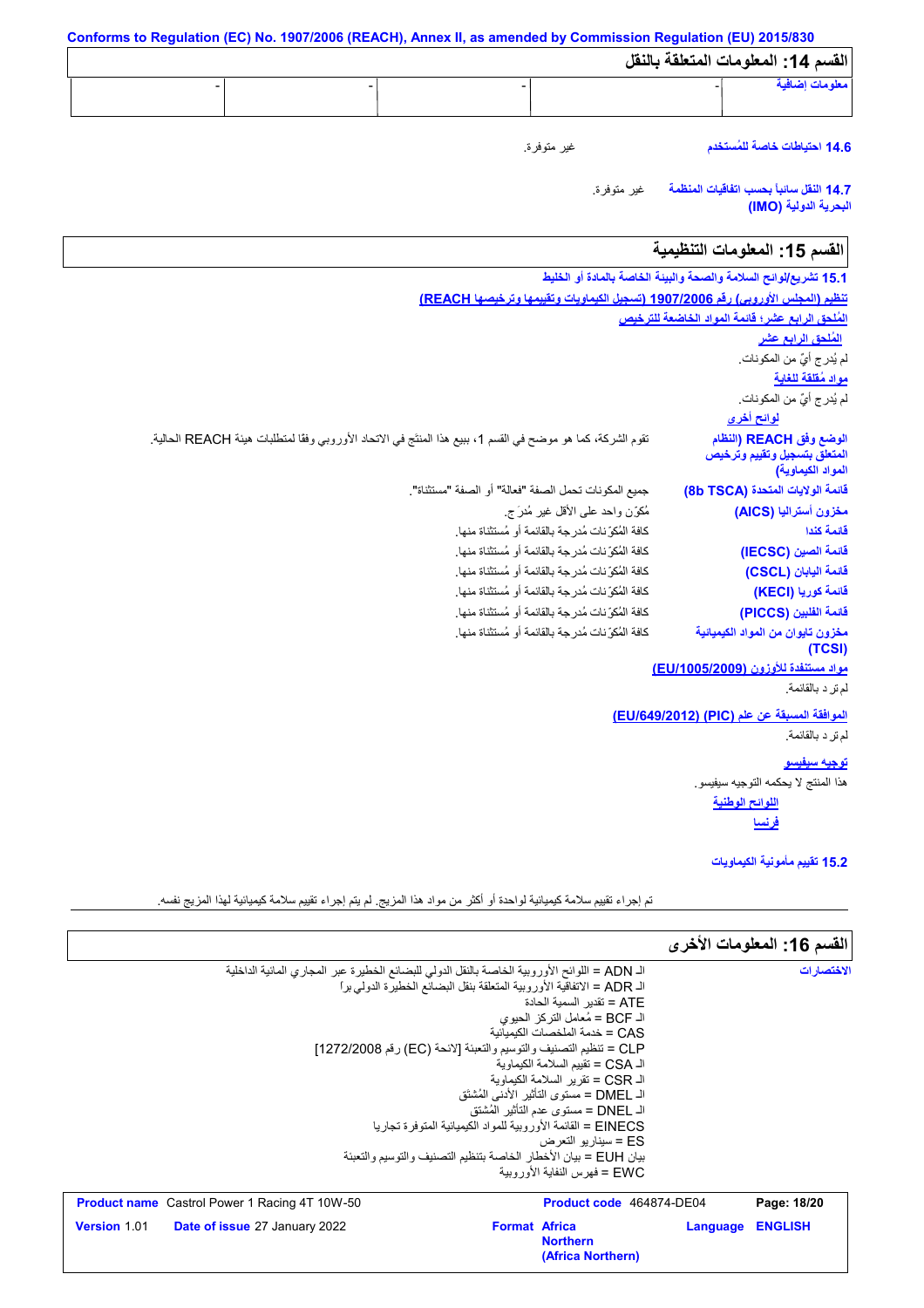**Conforms to Regulation (EC) No. 1907/2006 (REACH), Annex II, as amended by Commission Regulation (EU) 2015/830 القسم :14 المعلومات المتعلقة بالنقل** غیر متوفرة. غیر متوفرة. **معلومات إضافیة** - - - - **14.6 احتیاطات خاصة للمُستخدم 14.7 النقل سائباً بحسب اتفاقیات المنظمة البحریة الدولیة (IMO( اللوائح الوطنیة لوائح أخرى** تقوم الشركة، كما ھو موضح في القسم ،1 ببیع ھذا المنتَج في الاتحاد الأوروبي وفقًا لمتطلبات ھیئة REACH الحالیة. القسم 15: المعلومات التنظيمية **15.1 تشریع/لوائح السلامة والصحة والبیئة الخاصة بالمادة أو الخلیط تنظیم (المجلس الأوروبي) رقم 1907/2006 (تسجیل الكیماویات وتقییمھا وترخیصھا REACH( المُلحق الرابع عشر؛ قائمة المواد الخاضعة للترخیص مواد مُقلقة للغایة** لم یُدرج أيٌ من المكونات. نقوم الشركة، كما هو موضح في ال<br>جميع المكونات تحمل الصفة "فعالم<br>مُكوِّن واحد على الأقل غير مُدرَ ج.<br>كافة المُكوِّنات مُدرجة بالقانمة أو مُ كافة المُكوِّنات مُدرجة بالقائمة أو مُستثناة منھا. كافة المُكوِّنات مُدرجة بالقائمة أو مُستثناة منھا. كافة المُكوِّنات مُدرجة بالقائمة أو مُستثناة منھا. جمیع المكونات تحمل الصفة "فعالة" أو الصفة "مستثناة". كافة المُكوِّنات مُدرجة بالقائمة أو مُستثناة منھا. كافة المُكوِّنات مُدرجة بالقائمة أو مُستثناة منھا. كافة المُكوِّنات مُدرجة بالقائمة أو مُستثناة منھا. **مواد مستنفدة للأوزون (/1005/2009EU(** قائمة الفلبين (<br>مغزون تايوان<br>مغزاد مستن<mark>فدة</mark><br>لم تر د بالقائمة.<br>لم تر د بالقائمة. **الموافقة المسبقة عن علم (PIC) (/649/2012EU(** رافات المست<u>نفدة المريضة المريضة المريضة المريضة المريضة المريضة المريضة المريضة المريضة المريضة المريضة المريضة ا</u><br>المريض المريضة المسير<br>المريض المريضة المريضة<br>المريضة المريضة **توجیھ سیفیسو** ھذا المنتج لا یحكمھ التوجیھ سیفیسو. لم یُدرج أيٌ من المكونات. **المُلحق الرابع عشر الوضع وفق REACH) النظام المتعلق بتسجیل وتقییم وترخیص المواد الكیماویة) قائمة الولایات المتحدة (TSCA b8( مخزون أسترالیا (AICS( قائمة كندا قائمة الصین (IECSC( قائمة الیابان (CSCL( قائمة كوریا (KECI( قائمة الفلبین (PICCS( مخزون تایوان من المواد الكیمیائیة (TCSI) فرنسا 15.2 تقییم مأمونیة الكیماویات**

تم إجراء تقییم سلامة كیمیائیة لواحدة أو أكثر من مواد ھذا المزیج. لم یتم إجراء تقییم سلامة كیمیائیة لھذا المزیج نفسھ.

| القسم 16: المعلومات الأخرى |                                           |                                                                                               |                                                      |                     |
|----------------------------|-------------------------------------------|-----------------------------------------------------------------------------------------------|------------------------------------------------------|---------------------|
| الاختصار ات                |                                           | الـ ADN = اللوائح الأوروبية الخاصة بالنقل الدولي للبضائع الخطيرة عبر المجاري المائية الداخلية |                                                      |                     |
|                            |                                           | الـ ADR = الاتفاقية الأور وبية المتعلقة بنقل البضائع الخطير ة الدولي بر ا                     |                                                      |                     |
|                            | ATE = تقدبر   السمبة الحادة               |                                                                                               |                                                      |                     |
|                            | الـ BCF = مُعامل التركز  الحيو ي          |                                                                                               |                                                      |                     |
|                            | CAS = خدمة الملخصات الكبمبائبة            |                                                                                               |                                                      |                     |
|                            |                                           | CLP = تنظيم التصنيف والتوسيم والتعبئة [لائحة (EC) رقم 1272/2008]                              |                                                      |                     |
|                            | الـ CSA = تقييم السلامة الكيماو ية        |                                                                                               |                                                      |                     |
|                            | الـ CSR = تقرير السلامة الكيماوية         |                                                                                               |                                                      |                     |
|                            | الـ DMEL = مستوى التأثير  الأدنى المُشتَق |                                                                                               |                                                      |                     |
|                            | اك DNEL = مستوى عدم التأثير  المُشتق      |                                                                                               |                                                      |                     |
|                            |                                           | EINECS = القائمة الأور وبية للمواد الكبمبائية المتوفر ة تجار با                               |                                                      |                     |
|                            | ES = سبنار بو التعرض                      |                                                                                               |                                                      |                     |
|                            |                                           | بيان EUH = بيان الأخطار الخاصة بتنظيم التصنيف والتوسيم والتعبئة                               |                                                      |                     |
|                            | FWC = فهرس النفاية الأورويية              |                                                                                               |                                                      |                     |
| Page: 18/20                | Product code 464874-DE04                  |                                                                                               | <b>Product name</b> Castrol Power 1 Racing 4T 10W-50 |                     |
| <b>ENGLISH</b><br>Language |                                           | <b>Format Africa</b>                                                                          | <b>Date of issue 27 January 2022</b>                 | <b>Version 1.01</b> |
|                            | <b>Northern</b>                           |                                                                                               |                                                      |                     |
|                            | (Africa Northern)                         |                                                                                               |                                                      |                     |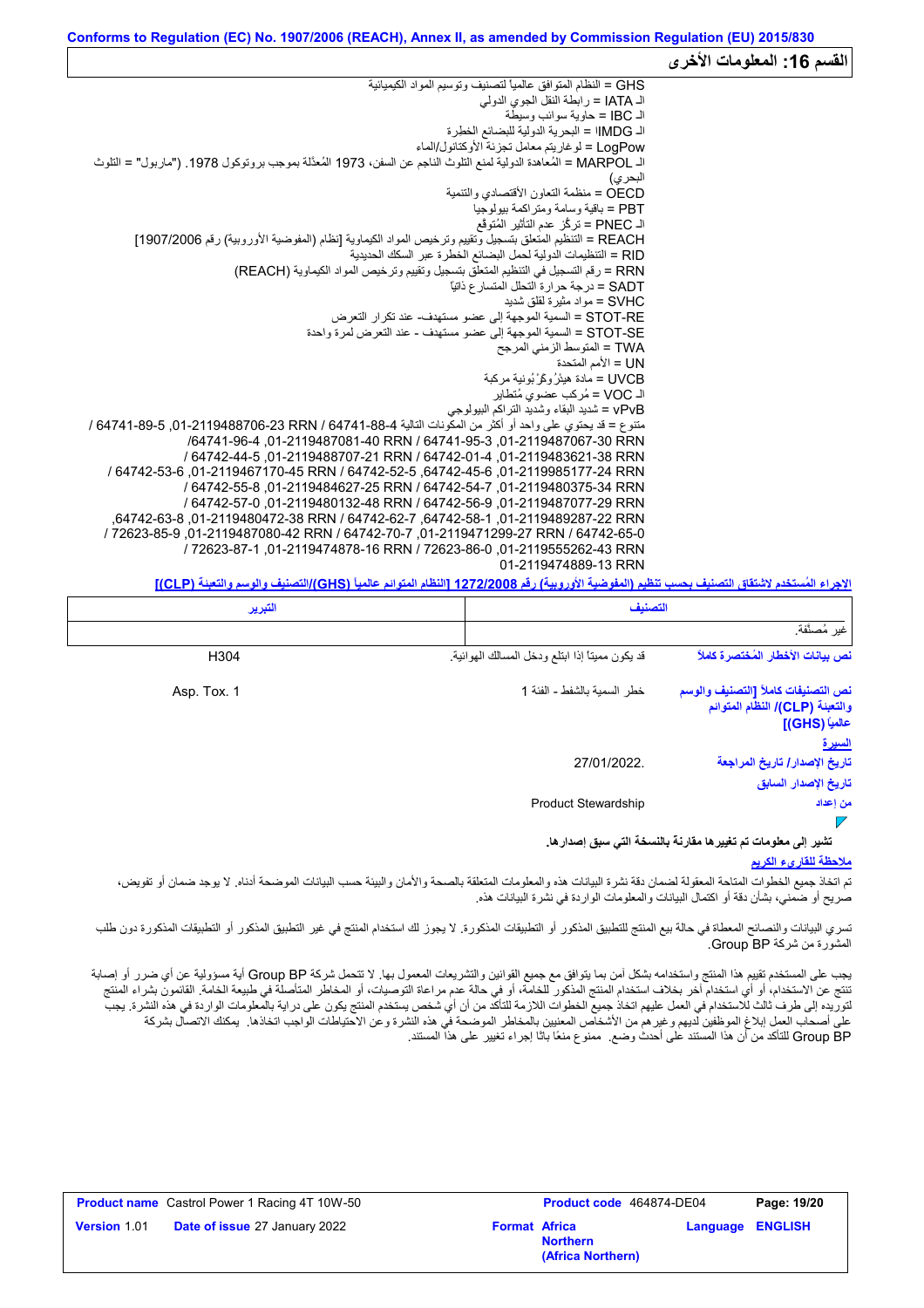#### القسم 16: المعلومات الأخر<sub>ى</sub> GHS = النظام المتوافق عالمیاً لتصنیف وتوسیم المواد الكیمیائیة الـ IATA = رابطة النقل الجوي الدولي الـ IBC = حاویة سوائب وسیطة الـ IMDGا = البحریة الدولیة للبضائع الخطِرة LogPow = لوغاریتم معامل تجزئة الأوكتانول/الماء الـ MARPOL = المُعاھدة الدولیة لمنع التلوث الناجم عن السفن، 1973 المُعدَّلة بموجب بروتوكول .1978 ("ماربول" = التلوث البحري) OECD = منظمة التعاون الأقتصادي والتنمیة PBT = باقیة وسامة ومتراكمة بیولوجیا الـ PNEC = تركُّز عدم التأثیر المُتوقَّع REACH = التنظیم المتعلق بتسجیل وتقییم وترخیص المواد الكیماویة [نظام (المفوضیة الأوروبیة) رقم 1907/2006] RID = التنظیمات الدولیة لحمل البضائع الخطرة عبر السكك الحدیدیة RRN = رقم التسجیل في التنظیم المتعلق بتسجیل وتقییم وترخیص المواد الكیماویة (REACH( SADT = درجة حرارة التحلل المتسارع ذاتیاً SVHC = مواد مثیرة لقلق شدید RE-STOT = السمیة الموجھة إلى عضو مستھدف- عند تكرار التعرض SE-STOT = السمیة الموجھة إلى عضو مستھدف - عند التعرض لمرة واحدة TWA = المتوسط الزمني المرجح UN = الأمم المتحدة SVHC = مواد مثيرة لقلق شديد<br>STOT-RE = السمية الموجهة إلى .<br>STOT-SE = السمية الموجهة إلى .<br>TWA = المنوسط الزمني المرجح<br>UVCB = مادة هيئرُ ركَّرٌ بُونية مركبة<br>UVCB = مُركب عضوي مُتطاير vPvB = شدید البقاء وشدید التراكم البیولوجي متنوع = قد يحتوي على واحد أو أكثر من المكونات التالية 64741-88-64706-23 RRN / 64741-89-6 / 64741-89-6 / /64741-96-4 ,01-2119487081-40 RRN / 64741-95-3 ,01-2119487067-30 RRN / 64742-44-5 ,01-2119488707-21 RRN / 64742-01-4 ,01-2119483621-38 RRN / 64742-53-6 ,01-2119467170-45 RRN / 64742-52-5 ,64742-45-6 ,01-2119985177-24 RRN / 64742-55-8 ,01-2119484627-25 RRN / 64742-54-7 ,01-2119480375-34 RRN / 64742-57-0 ,01-2119480132-48 RRN / 64742-56-9 ,01-2119487077-29 RRN ,64742-63-8 ,01-2119480472-38 RRN / 64742-62-7 ,64742-58-1 ,01-2119489287-22 RRN / 72623-85-9 ,01-2119487080-42 RRN / 64742-70-7 ,01-2119471299-27 RRN / 64742-65-0 / 72623-87-1 ,01-2119474878-16 RRN / 72623-86-0 ,01-2119555262-43 RRN 01-2119474889-13 RRN

**الإجراء المُستخدم لاشتقاق التصنیف بحسب تنظیم (المفوضیة الأوروبیة) رقم 1272/2008 [النظام المتوائم عالمیاً (GHS(/التصنیف والوسم والتعبئة (CLP[(**

| التبرير     | التصنيف                                                                                                                          |
|-------------|----------------------------------------------------------------------------------------------------------------------------------|
|             | غير مُصنَّفة.                                                                                                                    |
| H304        | نص بيانات الأخطار المُختصرة كاملاً<br>قد يكون مميناً إذا ابتلع ودخل المسالك الهوائية.                                            |
| Asp. Tox. 1 | نص التصنيفات كاملأ [التصنيف والوسم<br>خطر السمية بالشفط - الفئة 1<br>والتعبئة (CLP)/ النظام المتوائم<br>عالمياً (GHS)]<br>للسيرة |
|             | تاريخ الإصدار / تاريخ المراجعة<br>27/01/2022.<br>تاريخ الإصدار السابق                                                            |
|             | <b>Product Stewardship</b><br>من إعداد                                                                                           |
|             | تشير إلى معلومات تم تغيير ها مقارنة بالنسخة التي سبق إصدار ها.                                                                   |

#### **ملاحظة للقاريء الكریم**

تم اتخاذ جمیع الخطوات المعقولة لضمان دقة نشرة البیانات هذه والمعلومات المتعلقة بالصحة والأمان والبیئة حسب البیانات الموضحة أدناه. لا یوجد ضمان أو تفویض، صریح أو ضمني، بشأن دقة أو اكتمال البیانات والمعلومات الواردة في نشرة البیانات ھذه.

تسري البیانات والنصائح المعطاة في حالة بیع المنتج للتطبیق المنكور التارستان التاریخ الاستخدام المنتج في غیر التطبیقات المذكور أو التطبیقات المذكورة دون طلب المشورة من شركة BP Group.

يجب على المستخدم تقييم هذا المنتج واستخدامه بشكل آمن بما يتوافق مع جميع القوانين والتشريعات المعمول بها. لا تتحمل شركة Group BP أية مسؤولية عن أي ضرر أو إصابة تنتج عن الاستخدام، أو أي استخدام آخر بخلاف استخدام المنتج المذكور للخامة، أو في حالة علم مراعاة التوصيات، أو المخاطر المتأصلة في طبیعة الخامة. القائمون بشراء المنتج لتوریده إلى طرف ثالث للاستخدام في العمل علیهم اتخاذ جمیع الخطوات اللازمة للتأكد من أن شخص یستخدم المنتج یكون على درایة بالمعلومات الواردة في هذه النشرة. یجب على أصحاب العمل إبلاغ الموظفین لدیھم وغیرھم من الأشخاص المعنیین بالمخاطر الموضحة في ھذه النشرة وعن الاحتیاطات الواجب اتخاذھا. یمكنك الاتصال بشركة BP Group للتأكد من أن ھذا المستند على أحدث وضع. ممنوع منعًا باتًا إجراء تغییر على ھذا المستند.

|                     | <b>Product name</b> Castrol Power 1 Racing 4T 10W-50 |                      | <b>Product code</b> 464874-DE04      |                         | Page: 19/20 |
|---------------------|------------------------------------------------------|----------------------|--------------------------------------|-------------------------|-------------|
| <b>Version</b> 1.01 | <b>Date of issue 27 January 2022</b>                 | <b>Format Africa</b> | <b>Northern</b><br>(Africa Northern) | <b>Language ENGLISH</b> |             |